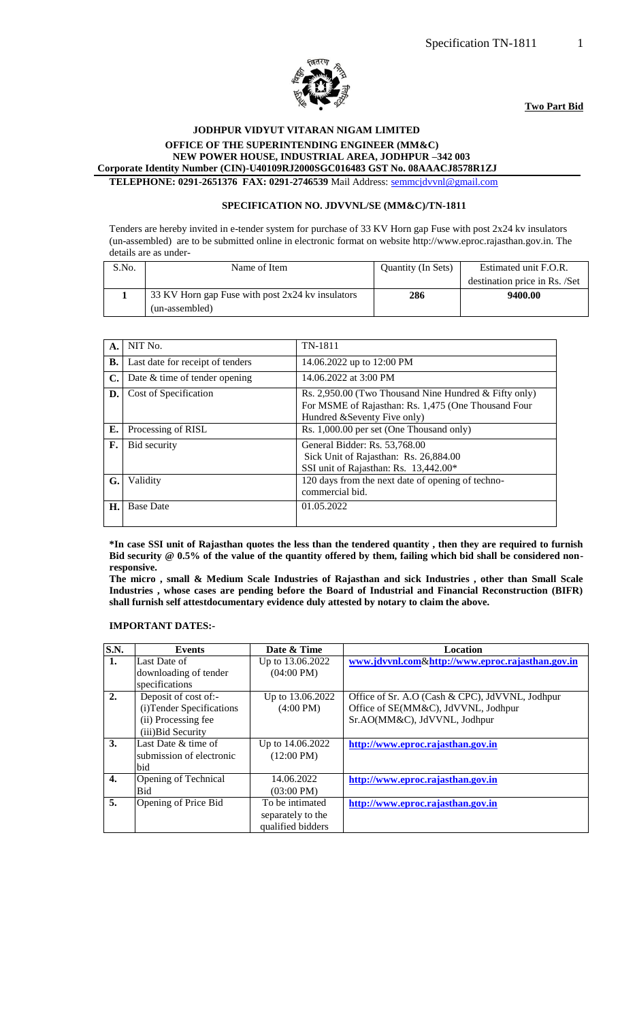

**Two Part Bid**

## **JODHPUR VIDYUT VITARAN NIGAM LIMITED**

 **OFFICE OF THE SUPERINTENDING ENGINEER (MM&C)**

 **NEW POWER HOUSE, INDUSTRIAL AREA, JODHPUR –342 003 Corporate Identity Number (CIN)-U40109RJ2000SGC016483 GST No. 08AAACJ8578R1ZJ**

**TELEPHONE: 0291-2651376 FAX: 0291-2746539** Mail Address: [semmcjdvvnl@gmail.com](mailto:semmcjdvvnl@gmail.com)

#### **SPECIFICATION NO. JDVVNL/SE (MM&C)/TN-1811**

Tenders are hereby invited in e-tender system for purchase of 33 KV Horn gap Fuse with post 2x24 kv insulators (un-assembled) are to be submitted online in electronic format on website http://www.eproc.rajasthan.gov.in. The details are as under-

| S.No. | Name of Item                                     | <b>Ouantity (In Sets)</b> | Estimated unit F.O.R.         |
|-------|--------------------------------------------------|---------------------------|-------------------------------|
|       |                                                  |                           | destination price in Rs. /Set |
|       | 33 KV Horn gap Fuse with post 2x24 kv insulators | 286                       | 9400.00                       |
|       | (un-assembled)                                   |                           |                               |

|    | NIT No.                          | TN-1811                                                 |
|----|----------------------------------|---------------------------------------------------------|
| A. |                                  |                                                         |
| В. | Last date for receipt of tenders | 14.06.2022 up to 12:00 PM                               |
| C. | Date $&$ time of tender opening  | 14.06.2022 at 3:00 PM                                   |
| D. | Cost of Specification            | Rs. 2,950.00 (Two Thousand Nine Hundred $&$ Fifty only) |
|    |                                  | For MSME of Rajasthan: Rs. 1,475 (One Thousand Four     |
|    |                                  | Hundred &Seventy Five only)                             |
| Е. | Processing of RISL               | Rs. 1,000.00 per set (One Thousand only)                |
| F. | Bid security                     | General Bidder: Rs. 53,768.00                           |
|    |                                  | Sick Unit of Rajasthan: Rs. 26,884.00                   |
|    |                                  | SSI unit of Rajasthan: Rs. 13,442.00*                   |
| G. | Validity                         | 120 days from the next date of opening of techno-       |
|    |                                  | commercial bid.                                         |
| Н. | <b>Base Date</b>                 | 01.05.2022                                              |
|    |                                  |                                                         |

**\*In case SSI unit of Rajasthan quotes the less than the tendered quantity , then they are required to furnish Bid security @ 0.5% of the value of the quantity offered by them, failing which bid shall be considered nonresponsive.**

**The micro , small & Medium Scale Industries of Rajasthan and sick Industries , other than Small Scale Industries , whose cases are pending before the Board of Industrial and Financial Reconstruction (BIFR) shall furnish self attestdocumentary evidence duly attested by notary to claim the above.**

#### **IMPORTANT DATES:-**

| S.N. | <b>Events</b>             | Date & Time          | <b>Location</b>                                  |
|------|---------------------------|----------------------|--------------------------------------------------|
| 1.   | Last Date of              | Up to 13.06.2022     | www.jdvvnl.com&http://www.eproc.rajasthan.gov.in |
|      | downloading of tender     | $(04:00 \text{ PM})$ |                                                  |
|      | specifications            |                      |                                                  |
| 2.   | Deposit of cost of:-      | Up to 13.06.2022     | Office of Sr. A.O (Cash & CPC), JdVVNL, Jodhpur  |
|      | (i) Tender Specifications | $(4:00 \text{ PM})$  | Office of SE(MM&C), JdVVNL, Jodhpur              |
|      | (ii) Processing fee       |                      | Sr.AO(MM&C), JdVVNL, Jodhpur                     |
|      | (iii) Bid Security        |                      |                                                  |
| 3.   | Last Date & time of       | Up to 14.06.2022     | http://www.eproc.rajasthan.gov.in                |
|      | submission of electronic  | $(12:00 \text{ PM})$ |                                                  |
|      | bid                       |                      |                                                  |
| 4.   | Opening of Technical      | 14.06.2022           | http://www.eproc.rajasthan.gov.in                |
|      | Bid                       | $(03:00 \text{ PM})$ |                                                  |
| 5.   | Opening of Price Bid      | To be intimated      | http://www.eproc.rajasthan.gov.in                |
|      |                           | separately to the    |                                                  |
|      |                           | qualified bidders    |                                                  |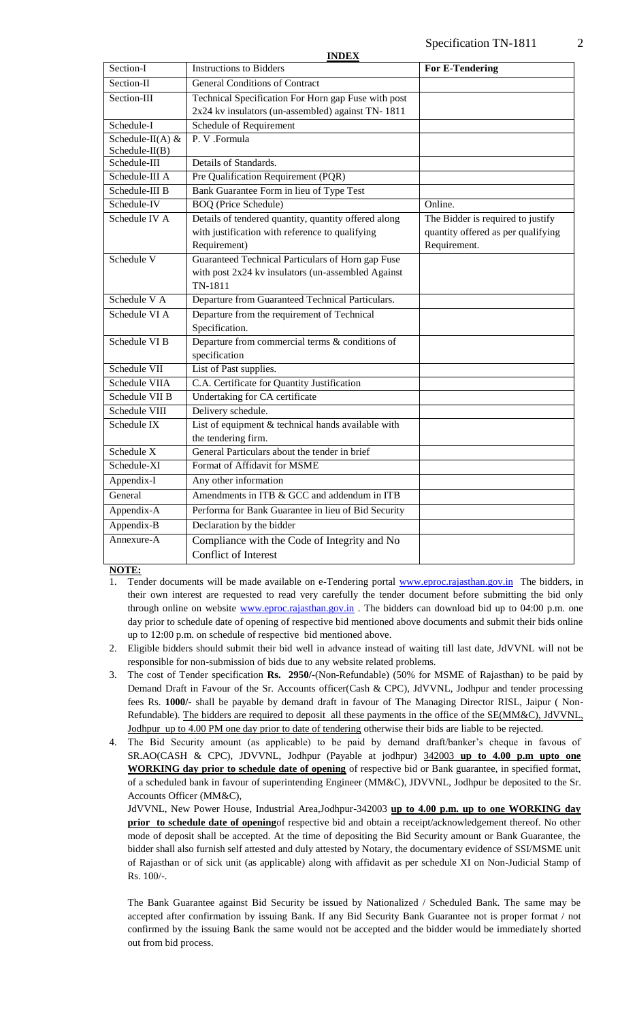| Section-I                              | INDEA<br><b>Instructions to Bidders</b>              | <b>For E-Tendering</b>             |
|----------------------------------------|------------------------------------------------------|------------------------------------|
| Section-II                             | <b>General Conditions of Contract</b>                |                                    |
| Section-III                            | Technical Specification For Horn gap Fuse with post  |                                    |
|                                        | 2x24 kv insulators (un-assembled) against TN-1811    |                                    |
| Schedule-I                             | Schedule of Requirement                              |                                    |
| Schedule-II(A) $&$<br>$Schedule-II(B)$ | P. V .Formula                                        |                                    |
| Schedule-III                           | Details of Standards.                                |                                    |
| Schedule-III A                         | Pre Qualification Requirement (PQR)                  |                                    |
| Schedule-III B                         | Bank Guarantee Form in lieu of Type Test             |                                    |
| Schedule-IV                            | <b>BOQ</b> (Price Schedule)                          | Online.                            |
| Schedule IV A                          | Details of tendered quantity, quantity offered along | The Bidder is required to justify  |
|                                        | with justification with reference to qualifying      | quantity offered as per qualifying |
|                                        | Requirement)                                         | Requirement.                       |
| Schedule V                             | Guaranteed Technical Particulars of Horn gap Fuse    |                                    |
|                                        | with post 2x24 kv insulators (un-assembled Against   |                                    |
|                                        | TN-1811                                              |                                    |
| Schedule V A                           | Departure from Guaranteed Technical Particulars.     |                                    |
| Schedule VI A                          | Departure from the requirement of Technical          |                                    |
|                                        | Specification.                                       |                                    |
| Schedule VI B                          | Departure from commercial terms & conditions of      |                                    |
|                                        | specification                                        |                                    |
| Schedule VII                           | List of Past supplies.                               |                                    |
| Schedule VIIA                          | C.A. Certificate for Quantity Justification          |                                    |
| Schedule VII B                         | Undertaking for CA certificate                       |                                    |
| Schedule VIII                          | Delivery schedule.                                   |                                    |
| Schedule IX                            | List of equipment & technical hands available with   |                                    |
|                                        | the tendering firm.                                  |                                    |
| Schedule X                             | General Particulars about the tender in brief        |                                    |
| Schedule-XI                            | Format of Affidavit for MSME                         |                                    |
| Appendix-I                             | Any other information                                |                                    |
| General                                | Amendments in ITB & GCC and addendum in ITB          |                                    |
| Appendix-A                             | Performa for Bank Guarantee in lieu of Bid Security  |                                    |
| Appendix-B                             | Declaration by the bidder                            |                                    |
| Annexure-A                             | Compliance with the Code of Integrity and No         |                                    |
|                                        | <b>Conflict of Interest</b>                          |                                    |

**INDEX**

**NOTE:**

- 1. Tender documents will be made available on e-Tendering portal [www.eproc.rajasthan.gov.in](http://www.eproc.rajasthan.gov.in/) The bidders, in their own interest are requested to read very carefully the tender document before submitting the bid only through online on website [www.eproc.rajasthan.gov.in](http://www.eproc.rajasthan.gov.in/). The bidders can download bid up to 04:00 p.m. one day prior to schedule date of opening of respective bid mentioned above documents and submit their bids online up to 12:00 p.m. on schedule of respective bid mentioned above.
- 2. Eligible bidders should submit their bid well in advance instead of waiting till last date, JdVVNL will not be responsible for non-submission of bids due to any website related problems.
- 3. The cost of Tender specification **Rs. 2950/-**(Non-Refundable) (50% for MSME of Rajasthan) to be paid by Demand Draft in Favour of the Sr. Accounts officer(Cash & CPC), JdVVNL, Jodhpur and tender processing fees Rs. **1000/-** shall be payable by demand draft in favour of The Managing Director RISL, Jaipur ( Non-Refundable). The bidders are required to deposit all these payments in the office of the SE(MM&C), JdVVNL, Jodhpur up to 4.00 PM one day prior to date of tendering otherwise their bids are liable to be rejected.
- 4. The Bid Security amount (as applicable) to be paid by demand draft/banker's cheque in favous of SR.AO(CASH & CPC), JDVVNL, Jodhpur (Payable at jodhpur) 342003 **up to 4.00 p.m upto one WORKING day prior to schedule date of opening** of respective bid or Bank guarantee, in specified format, of a scheduled bank in favour of superintending Engineer (MM&C), JDVVNL, Jodhpur be deposited to the Sr. Accounts Officer (MM&C),

JdVVNL, New Power House, Industrial Area,Jodhpur-342003 **up to 4.00 p.m. up to one WORKING day prior to schedule date of opening**of respective bid and obtain a receipt/acknowledgement thereof. No other mode of deposit shall be accepted. At the time of depositing the Bid Security amount or Bank Guarantee, the bidder shall also furnish self attested and duly attested by Notary, the documentary evidence of SSI/MSME unit of Rajasthan or of sick unit (as applicable) along with affidavit as per schedule XI on Non-Judicial Stamp of Rs. 100/-.

The Bank Guarantee against Bid Security be issued by Nationalized / Scheduled Bank. The same may be accepted after confirmation by issuing Bank. If any Bid Security Bank Guarantee not is proper format / not confirmed by the issuing Bank the same would not be accepted and the bidder would be immediately shorted out from bid process.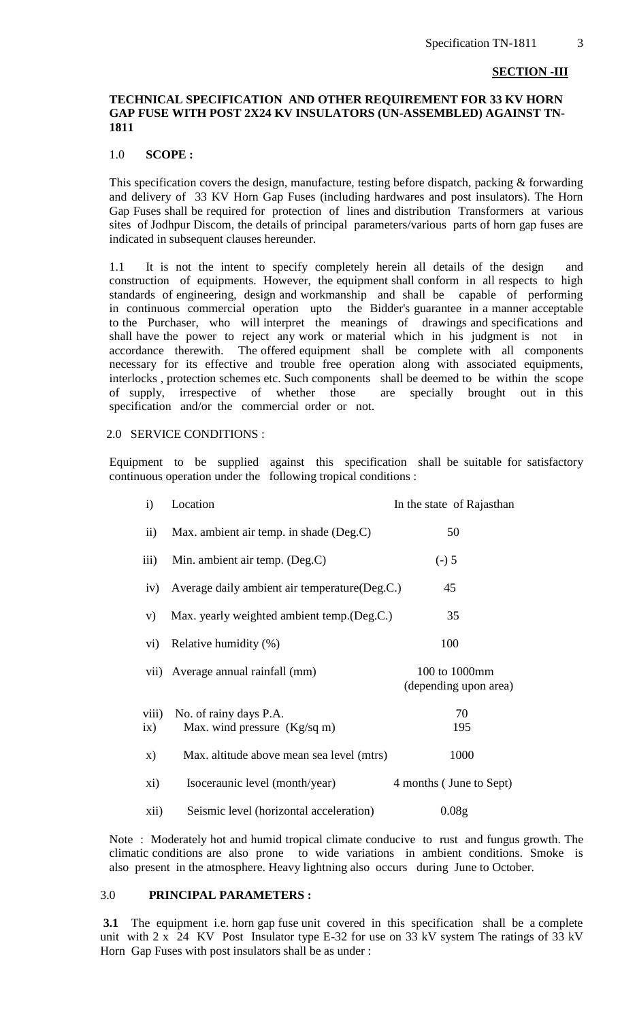#### **SECTION -III**

#### **TECHNICAL SPECIFICATION AND OTHER REQUIREMENT FOR 33 KV HORN GAP FUSE WITH POST 2X24 KV INSULATORS (UN-ASSEMBLED) AGAINST TN-1811**

#### 1.0 **SCOPE :**

This specification covers the design, manufacture, testing before dispatch, packing & forwarding and delivery of 33 KV Horn Gap Fuses (including hardwares and post insulators). The Horn Gap Fuses shall be required for protection of lines and distribution Transformers at various sites of Jodhpur Discom, the details of principal parameters/various parts of horn gap fuses are indicated in subsequent clauses hereunder.

1.1 It is not the intent to specify completely herein all details of the design and construction of equipments. However, the equipment shall conform in all respects to high standards of engineering, design and workmanship and shall be capable of performing in continuous commercial operation upto the Bidder's guarantee in a manner acceptable to the Purchaser, who will interpret the meanings of drawings and specifications and shall have the power to reject any work or material which in his judgment is not in accordance therewith. The offered equipment shall be complete with all components necessary for its effective and trouble free operation along with associated equipments, interlocks , protection schemes etc. Such components shall be deemed to be within the scope of supply, irrespective of whether those are specially brought out in this specification and/or the commercial order or not.

#### 2.0 SERVICE CONDITIONS :

Equipment to be supplied against this specification shall be suitable for satisfactory continuous operation under the following tropical conditions :

| $\mathbf{i}$ | Location                                       | In the state of Rajasthan              |
|--------------|------------------------------------------------|----------------------------------------|
| $\rm ii)$    | Max. ambient air temp. in shade (Deg.C)        | 50                                     |
| iii)         | Min. ambient air temp. (Deg.C)                 | $(-) 5$                                |
| iv)          | Average daily ambient air temperature (Deg.C.) | 45                                     |
| V)           | Max. yearly weighted ambient temp.(Deg.C.)     | 35                                     |
| $\rm vi)$    | Relative humidity (%)                          | 100                                    |
|              | vii) Average annual rainfall (mm)              | 100 to 1000mm<br>(depending upon area) |
| viii)        | No. of rainy days P.A.                         | 70                                     |
| ix)          | Max. wind pressure $(Kg/sq m)$                 | 195                                    |
| X)           | Max. altitude above mean sea level (mtrs)      | 1000                                   |
| xi)          | Isoceraunic level (month/year)                 | 4 months (June to Sept)                |
| xii)         | Seismic level (horizontal acceleration)        | 0.08 <sub>g</sub>                      |

Note : Moderately hot and humid tropical climate conducive to rust and fungus growth. The climatic conditions are also prone to wide variations in ambient conditions. Smoke is also present in the atmosphere. Heavy lightning also occurs during June to October.

#### 3.0 **PRINCIPAL PARAMETERS :**

**3.1** The equipment i.e. horn gap fuse unit covered in this specification shall be a complete unit with 2 x 24 KV Post Insulator type E-32 for use on 33 kV system The ratings of 33 kV Horn Gap Fuses with post insulators shall be as under :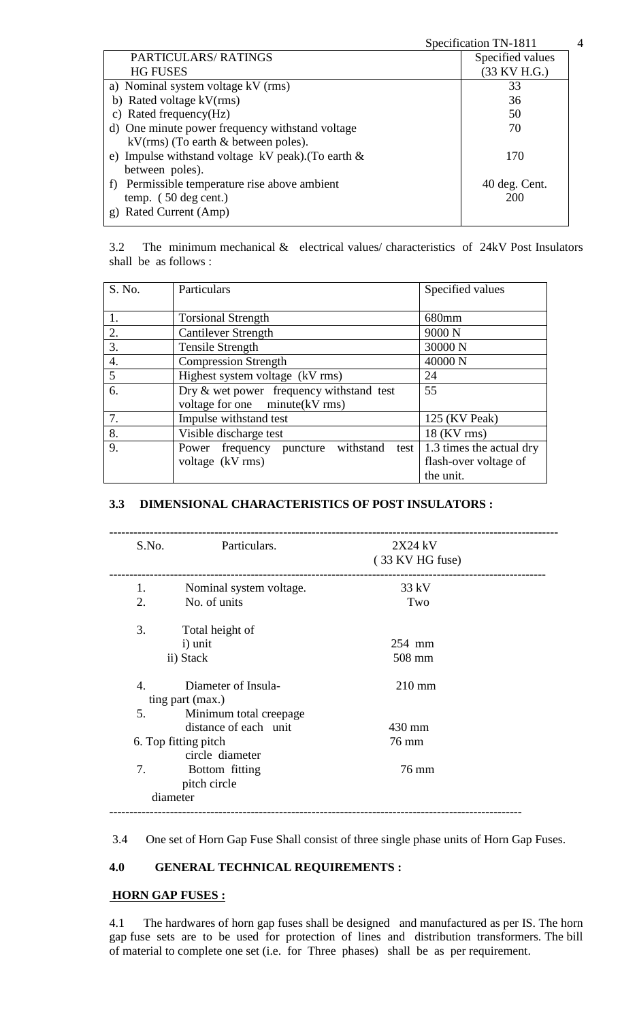|                                                        | Specification TN-1811 | 4 |
|--------------------------------------------------------|-----------------------|---|
| PARTICULARS/RATINGS                                    | Specified values      |   |
| <b>HG FUSES</b>                                        | $(33$ KV H.G.)        |   |
| a) Nominal system voltage kV (rms)                     | 33                    |   |
| b) Rated voltage kV(rms)                               | 36                    |   |
| c) Rated frequency(Hz)                                 | 50                    |   |
| d) One minute power frequency withstand voltage        | 70                    |   |
| $kV(rms)$ (To earth $\&$ between poles).               |                       |   |
| e) Impulse with stand voltage kV peak). (To earth $\&$ | 170                   |   |
| between poles).                                        |                       |   |
| f) Permissible temperature rise above ambient          | 40 deg. Cent.         |   |
| temp. $(50 \deg \text{cent.})$                         | 200                   |   |
| Rated Current (Amp)<br>g)                              |                       |   |

3.2 The minimum mechanical & electrical values/ characteristics of 24kV Post Insulators shall be as follows :

| S. No.           | Particulars                                 | Specified values         |
|------------------|---------------------------------------------|--------------------------|
|                  |                                             |                          |
| 1.               | <b>Torsional Strength</b>                   | 680mm                    |
| 2.               | <b>Cantilever Strength</b>                  | 9000 <sub>N</sub>        |
| 3.               | <b>Tensile Strength</b>                     | 30000 N                  |
| $\overline{4}$ . | <b>Compression Strength</b>                 | 40000 N                  |
| 5                | Highest system voltage (kV rms)             | 24                       |
| 6.               | Dry $&$ wet power frequency with stand test | 55                       |
|                  | voltage for one minute (kV rms)             |                          |
| 7.               | Impulse withstand test                      | 125 (KV Peak)            |
| 8.               | Visible discharge test                      | $18$ (KV rms)            |
| 9.               | Power frequency puncture withstand test     | 1.3 times the actual dry |
|                  | voltage (kV rms)                            | flash-over voltage of    |
|                  |                                             | the unit.                |

## **3.3 DIMENSIONAL CHARACTERISTICS OF POST INSULATORS :**

| S.No.            | Particulars.            | 2X24 kV<br>(33 KV HG fuse) |  |
|------------------|-------------------------|----------------------------|--|
| 1.               | Nominal system voltage. | $33$ kV                    |  |
| 2.               | No. of units            | Two                        |  |
| 3.               | Total height of         |                            |  |
|                  | i) unit                 | 254 mm                     |  |
|                  | ii) Stack               | 508 mm                     |  |
| $\overline{4}$ . | Diameter of Insula-     | $210$ mm                   |  |
|                  | ting part (max.)        |                            |  |
| 5.               | Minimum total creepage  |                            |  |
|                  | distance of each unit   | 430 mm                     |  |
|                  | 6. Top fitting pitch    | 76 mm                      |  |
|                  | circle diameter         |                            |  |
| 7.               | Bottom fitting          | 76 mm                      |  |
|                  | pitch circle            |                            |  |
|                  | diameter                |                            |  |

3.4 One set of Horn Gap Fuse Shall consist of three single phase units of Horn Gap Fuses.

#### **4.0 GENERAL TECHNICAL REQUIREMENTS :**

#### **HORN GAP FUSES :**

4.1 The hardwares of horn gap fuses shall be designed and manufactured as per IS. The horn gap fuse sets are to be used for protection of lines and distribution transformers. The bill of material to complete one set (i.e. for Three phases) shall be as per requirement.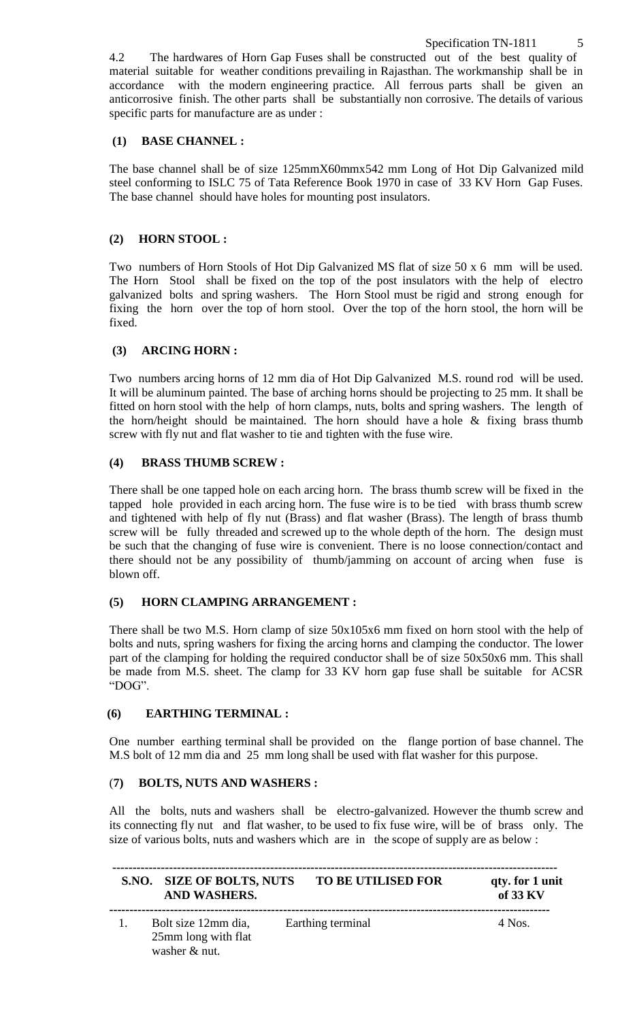4.2 The hardwares of Horn Gap Fuses shall be constructed out of the best quality of material suitable for weather conditions prevailing in Rajasthan. The workmanship shall be in accordance with the modern engineering practice. All ferrous parts shall be given an anticorrosive finish. The other parts shall be substantially non corrosive. The details of various specific parts for manufacture are as under :

## **(1) BASE CHANNEL :**

The base channel shall be of size 125mmX60mmx542 mm Long of Hot Dip Galvanized mild steel conforming to ISLC 75 of Tata Reference Book 1970 in case of 33 KV Horn Gap Fuses. The base channel should have holes for mounting post insulators.

## **(2) HORN STOOL :**

Two numbers of Horn Stools of Hot Dip Galvanized MS flat of size 50 x 6 mm will be used. The Horn Stool shall be fixed on the top of the post insulators with the help of electro galvanized bolts and spring washers. The Horn Stool must be rigid and strong enough for fixing the horn over the top of horn stool. Over the top of the horn stool, the horn will be fixed.

## **(3) ARCING HORN :**

Two numbers arcing horns of 12 mm dia of Hot Dip Galvanized M.S. round rod will be used. It will be aluminum painted. The base of arching horns should be projecting to 25 mm. It shall be fitted on horn stool with the help of horn clamps, nuts, bolts and spring washers. The length of the horn/height should be maintained. The horn should have a hole  $\&$  fixing brass thumb screw with fly nut and flat washer to tie and tighten with the fuse wire.

## **(4) BRASS THUMB SCREW :**

There shall be one tapped hole on each arcing horn. The brass thumb screw will be fixed in the tapped hole provided in each arcing horn. The fuse wire is to be tied with brass thumb screw and tightened with help of fly nut (Brass) and flat washer (Brass). The length of brass thumb screw will be fully threaded and screwed up to the whole depth of the horn. The design must be such that the changing of fuse wire is convenient. There is no loose connection/contact and there should not be any possibility of thumb/jamming on account of arcing when fuse is blown off.

## **(5) HORN CLAMPING ARRANGEMENT :**

There shall be two M.S. Horn clamp of size 50x105x6 mm fixed on horn stool with the help of bolts and nuts, spring washers for fixing the arcing horns and clamping the conductor. The lower part of the clamping for holding the required conductor shall be of size 50x50x6 mm. This shall be made from M.S. sheet. The clamp for 33 KV horn gap fuse shall be suitable for ACSR "DOG".

## **(6) EARTHING TERMINAL :**

One number earthing terminal shall be provided on the flange portion of base channel. The M.S bolt of 12 mm dia and 25 mm long shall be used with flat washer for this purpose.

## (**7) BOLTS, NUTS AND WASHERS :**

All the bolts, nuts and washers shall be electro-galvanized. However the thumb screw and its connecting fly nut and flat washer, to be used to fix fuse wire, will be of brass only. The size of various bolts, nuts and washers which are in the scope of supply are as below :

| S.NO. SIZE OF BOLTS, NUTS<br>AND WASHERS.                   | <b>TO BE UTILISED FOR</b> | qty. for 1 unit<br>of $33 KV$ |
|-------------------------------------------------------------|---------------------------|-------------------------------|
| Bolt size 12mm dia,<br>25mm long with flat<br>washer & nut. | Earthing terminal         | $4$ Nos.                      |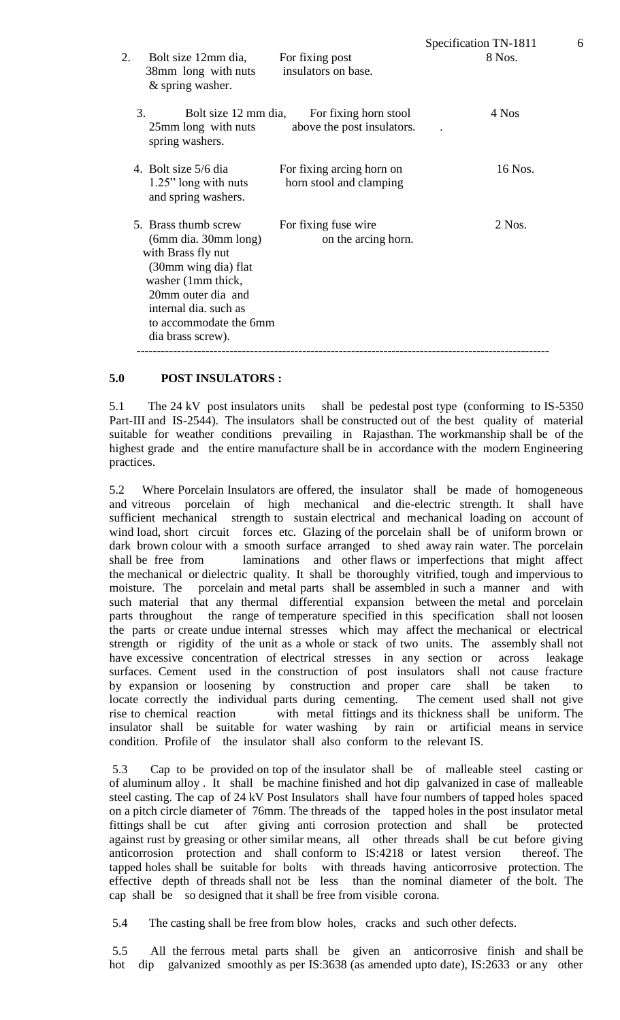| 2.<br>Bolt size 12mm dia,<br>38mm long with nuts<br>$&$ spring washer.                                                                                                                                                    | For fixing post<br>insulators on base.               | рреспренон 111 1011<br>8 Nos. |
|---------------------------------------------------------------------------------------------------------------------------------------------------------------------------------------------------------------------------|------------------------------------------------------|-------------------------------|
| 3.<br>Bolt size 12 mm dia,<br>25mm long with nuts<br>spring washers.                                                                                                                                                      | For fixing horn stool<br>above the post insulators.  | 4 Nos                         |
| 4. Bolt size 5/6 dia<br>1.25" long with nuts<br>and spring washers.                                                                                                                                                       | For fixing arcing horn on<br>horn stool and clamping | 16 Nos.                       |
| 5. Brass thumb screw<br>$(6mm \, dia. \, 30mm \, long)$<br>with Brass fly nut<br>(30mm wing dia) flat<br>washer (1mm thick,<br>20mm outer dia and<br>internal dia. such as<br>to accommodate the 6mm<br>dia brass screw). | For fixing fuse wire<br>on the arcing horn.          | $2$ Nos.                      |

#### **5.0 POST INSULATORS :**

5.1 The 24 kV post insulators units shall be pedestal post type (conforming to IS-5350 Part-III and IS-2544). The insulators shall be constructed out of the best quality of material suitable for weather conditions prevailing in Rajasthan. The workmanship shall be of the highest grade and the entire manufacture shall be in accordance with the modern Engineering practices.

5.2 Where Porcelain Insulators are offered, the insulator shall be made of homogeneous and vitreous porcelain of high mechanical and die-electric strength. It shall have sufficient mechanical strength to sustain electrical and mechanical loading on account of wind load, short circuit forces etc. Glazing of the porcelain shall be of uniform brown or dark brown colour with a smooth surface arranged to shed away rain water. The porcelain shall be free from laminations and other flaws or imperfections that might affect the mechanical or dielectric quality. It shall be thoroughly vitrified, tough and impervious to moisture. The porcelain and metal parts shall be assembled in such a manner and with such material that any thermal differential expansion between the metal and porcelain parts throughout the range of temperature specified in this specification shall not loosen the parts or create undue internal stresses which may affect the mechanical or electrical strength or rigidity of the unit as a whole or stack of two units. The assembly shall not have excessive concentration of electrical stresses in any section or across leakage surfaces. Cement used in the construction of post insulators shall not cause fracture by expansion or loosening by construction and proper care shall be taken to locate correctly the individual parts during cementing. The cement used shall not give rise to chemical reaction with metal fittings and its thickness shall be uniform. The insulator shall be suitable for water washing by rain or artificial means in service condition. Profile of the insulator shall also conform to the relevant IS.

5.3 Cap to be provided on top of the insulator shall be of malleable steel casting or of aluminum alloy . It shall be machine finished and hot dip galvanized in case of malleable steel casting. The cap of 24 kV Post Insulators shall have four numbers of tapped holes spaced on a pitch circle diameter of 76mm. The threads of the tapped holes in the post insulator metal fittings shall be cut after giving anti corrosion protection and shall be protected against rust by greasing or other similar means, all other threads shall be cut before giving anticorrosion protection and shall conform to IS:4218 or latest version thereof. The tapped holes shall be suitable for bolts with threads having anticorrosive protection. The effective depth of threads shall not be less than the nominal diameter of the bolt. The cap shall be so designed that it shall be free from visible corona.

5.4 The casting shall be free from blow holes, cracks and such other defects.

5.5 All the ferrous metal parts shall be given an anticorrosive finish and shall be hot dip galvanized smoothly as per IS:3638 (as amended upto date), IS:2633 or any other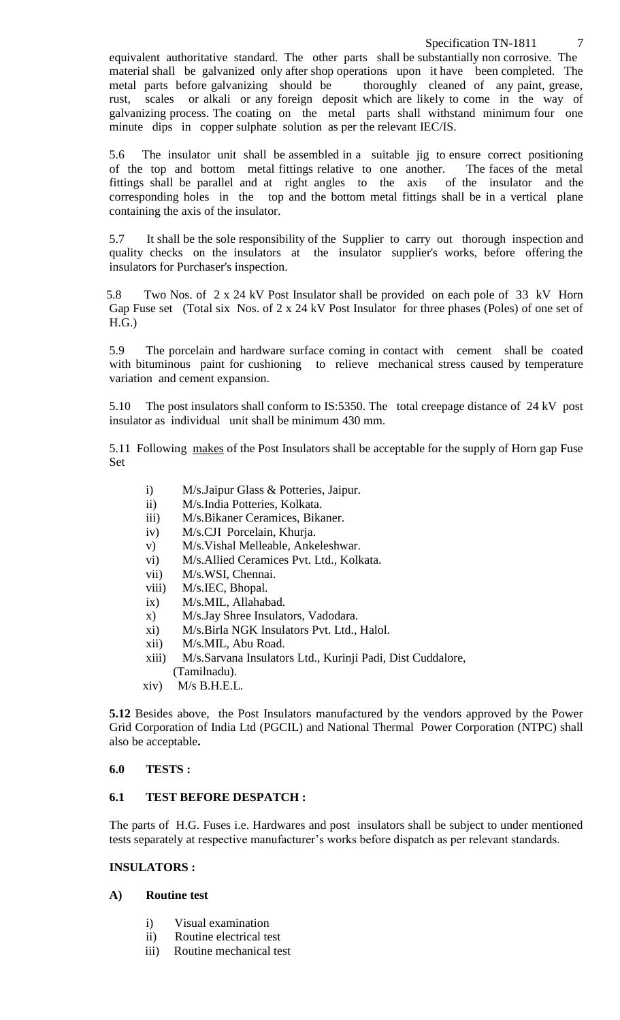equivalent authoritative standard. The other parts shall be substantially non corrosive. The material shall be galvanized only after shop operations upon it have been completed. The metal parts before galvanizing should be thoroughly cleaned of any paint, grease, rust, scales or alkali or any foreign deposit which are likely to come in the way of galvanizing process. The coating on the metal parts shall withstand minimum four one minute dips in copper sulphate solution as per the relevant IEC/IS.

5.6 The insulator unit shall be assembled in a suitable jig to ensure correct positioning of the top and bottom metal fittings relative to one another. The faces of the metal fittings shall be parallel and at right angles to the axis of the insulator and the corresponding holes in the top and the bottom metal fittings shall be in a vertical plane containing the axis of the insulator.

5.7 It shall be the sole responsibility of the Supplier to carry out thorough inspection and quality checks on the insulators at the insulator supplier's works, before offering the insulators for Purchaser's inspection.

 5.8 Two Nos. of 2 x 24 kV Post Insulator shall be provided on each pole of 33 kV Horn Gap Fuse set (Total six Nos. of 2 x 24 kV Post Insulator for three phases (Poles) of one set of H.G.)

5.9 The porcelain and hardware surface coming in contact with cement shall be coated with bituminous paint for cushioning to relieve mechanical stress caused by temperature variation and cement expansion.

5.10 The post insulators shall conform to IS:5350. The total creepage distance of 24 kV post insulator as individual unit shall be minimum 430 mm.

5.11 Following makes of the Post Insulators shall be acceptable for the supply of Horn gap Fuse Set

- i) M/s.Jaipur Glass & Potteries, Jaipur.
- ii) M/s.India Potteries, Kolkata.
- iii) M/s.Bikaner Ceramices, Bikaner.
- iv) M/s.CJI Porcelain, Khurja.
- v) M/s.Vishal Melleable, Ankeleshwar.
- vi) M/s.Allied Ceramices Pvt. Ltd., Kolkata.
- vii) M/s.WSI, Chennai.
- viii) M/s.IEC, Bhopal.
- ix) M/s.MIL, Allahabad.
- x) M/s.Jay Shree Insulators, Vadodara.
- xi) M/s.Birla NGK Insulators Pvt. Ltd., Halol.
- xii) M/s.MIL, Abu Road.
- xiii) M/s.Sarvana Insulators Ltd., Kurinji Padi, Dist Cuddalore, (Tamilnadu).
- xiv) M/s B.H.E.L.

**5.12** Besides above, the Post Insulators manufactured by the vendors approved by the Power Grid Corporation of India Ltd (PGCIL) and National Thermal Power Corporation (NTPC) shall also be acceptable**.** 

## **6.0 TESTS :**

## **6.1 TEST BEFORE DESPATCH :**

The parts of H.G. Fuses i.e. Hardwares and post insulators shall be subject to under mentioned tests separately at respective manufacturer's works before dispatch as per relevant standards.

#### **INSULATORS :**

## **A) Routine test**

- i) Visual examination
- ii) Routine electrical test
- iii) Routine mechanical test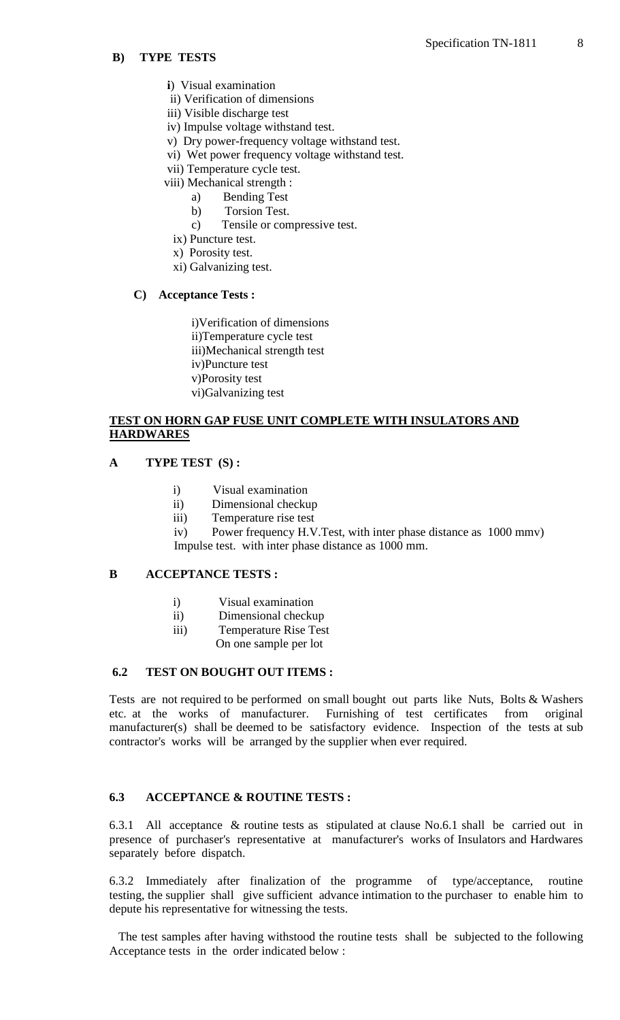#### **B) TYPE TESTS**

- **i**) Visual examination
- ii) Verification of dimensions
- iii) Visible discharge test
- iv) Impulse voltage withstand test.
- v) Dry power-frequency voltage withstand test.
- vi) Wet power frequency voltage withstand test.
- vii) Temperature cycle test.
- viii) Mechanical strength :
	- a) Bending Test
	- b) Torsion Test.
	- c) Tensile or compressive test.
	- ix) Puncture test.
	- x) Porosity test.
	- xi) Galvanizing test.

#### **C) Acceptance Tests :**

i)Verification of dimensions ii)Temperature cycle test iii)Mechanical strength test iv)Puncture test v)Porosity test vi)Galvanizing test

## **TEST ON HORN GAP FUSE UNIT COMPLETE WITH INSULATORS AND HARDWARES**

#### **A TYPE TEST (S) :**

- i) Visual examination
- ii) Dimensional checkup
- iii) Temperature rise test

iv) Power frequency H.V.Test, with inter phase distance as 1000 mmv) Impulse test. with inter phase distance as 1000 mm.

#### **B ACCEPTANCE TESTS :**

- i) Visual examination
- ii) Dimensional checkup
- iii) Temperature Rise Test
	- On one sample per lot

#### **6.2 TEST ON BOUGHT OUT ITEMS :**

Tests are not required to be performed on small bought out parts like Nuts, Bolts & Washers etc. at the works of manufacturer. Furnishing of test certificates from original manufacturer(s) shall be deemed to be satisfactory evidence. Inspection of the tests at sub contractor's works will be arranged by the supplier when ever required.

## **6.3 ACCEPTANCE & ROUTINE TESTS :**

6.3.1 All acceptance & routine tests as stipulated at clause No.6.1 shall be carried out in presence of purchaser's representative at manufacturer's works of Insulators and Hardwares separately before dispatch.

6.3.2 Immediately after finalization of the programme of type/acceptance, routine testing, the supplier shall give sufficient advance intimation to the purchaser to enable him to depute his representative for witnessing the tests.

 The test samples after having withstood the routine tests shall be subjected to the following Acceptance tests in the order indicated below :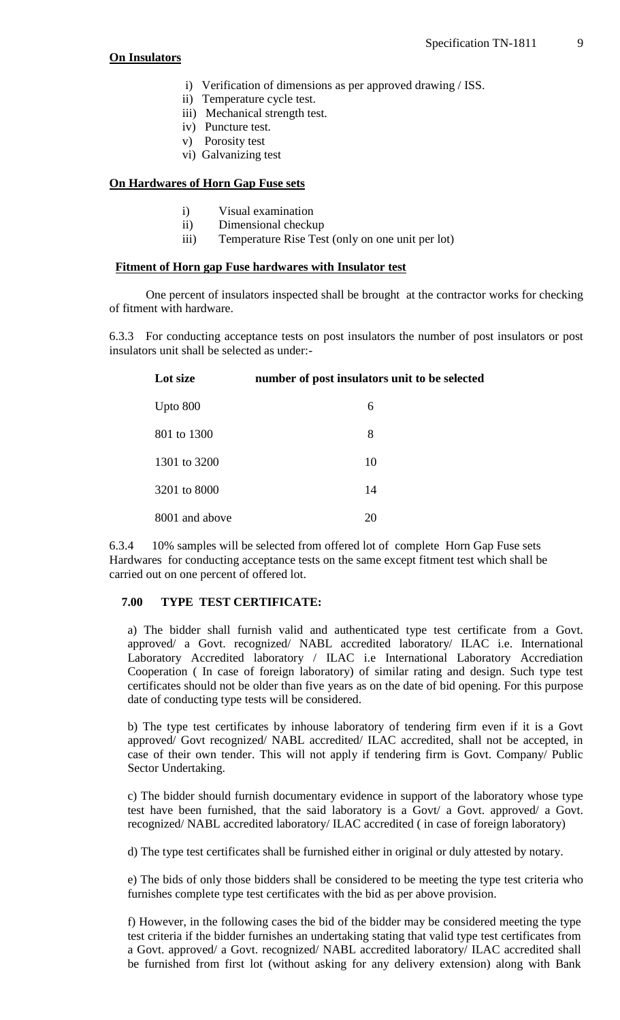#### **On Insulators**

- i) Verification of dimensions as per approved drawing / ISS.
- ii) Temperature cycle test.
- iii) Mechanical strength test.
- iv) Puncture test.
- v) Porosity test
- vi) Galvanizing test

## **On Hardwares of Horn Gap Fuse sets**

- i) Visual examination
- ii) Dimensional checkup
- iii) Temperature Rise Test (only on one unit per lot)

## **Fitment of Horn gap Fuse hardwares with Insulator test**

One percent of insulators inspected shall be brought at the contractor works for checking of fitment with hardware.

6.3.3 For conducting acceptance tests on post insulators the number of post insulators or post insulators unit shall be selected as under:-

| Lot size       | number of post insulators unit to be selected |
|----------------|-----------------------------------------------|
| Upto $800$     | 6                                             |
| 801 to 1300    | 8                                             |
| 1301 to 3200   | 10                                            |
| 3201 to 8000   | 14                                            |
| 8001 and above | 20                                            |

6.3.4 10% samples will be selected from offered lot of complete Horn Gap Fuse sets Hardwares for conducting acceptance tests on the same except fitment test which shall be carried out on one percent of offered lot.

## **7.00 TYPE TEST CERTIFICATE:**

a) The bidder shall furnish valid and authenticated type test certificate from a Govt. approved/ a Govt. recognized/ NABL accredited laboratory/ ILAC i.e. International Laboratory Accredited laboratory / ILAC i.e International Laboratory Accrediation Cooperation ( In case of foreign laboratory) of similar rating and design. Such type test certificates should not be older than five years as on the date of bid opening. For this purpose date of conducting type tests will be considered.

b) The type test certificates by inhouse laboratory of tendering firm even if it is a Govt approved/ Govt recognized/ NABL accredited/ ILAC accredited, shall not be accepted, in case of their own tender. This will not apply if tendering firm is Govt. Company/ Public Sector Undertaking.

c) The bidder should furnish documentary evidence in support of the laboratory whose type test have been furnished, that the said laboratory is a Govt/ a Govt. approved/ a Govt. recognized/ NABL accredited laboratory/ ILAC accredited ( in case of foreign laboratory)

d) The type test certificates shall be furnished either in original or duly attested by notary.

e) The bids of only those bidders shall be considered to be meeting the type test criteria who furnishes complete type test certificates with the bid as per above provision.

f) However, in the following cases the bid of the bidder may be considered meeting the type test criteria if the bidder furnishes an undertaking stating that valid type test certificates from a Govt. approved/ a Govt. recognized/ NABL accredited laboratory/ ILAC accredited shall be furnished from first lot (without asking for any delivery extension) along with Bank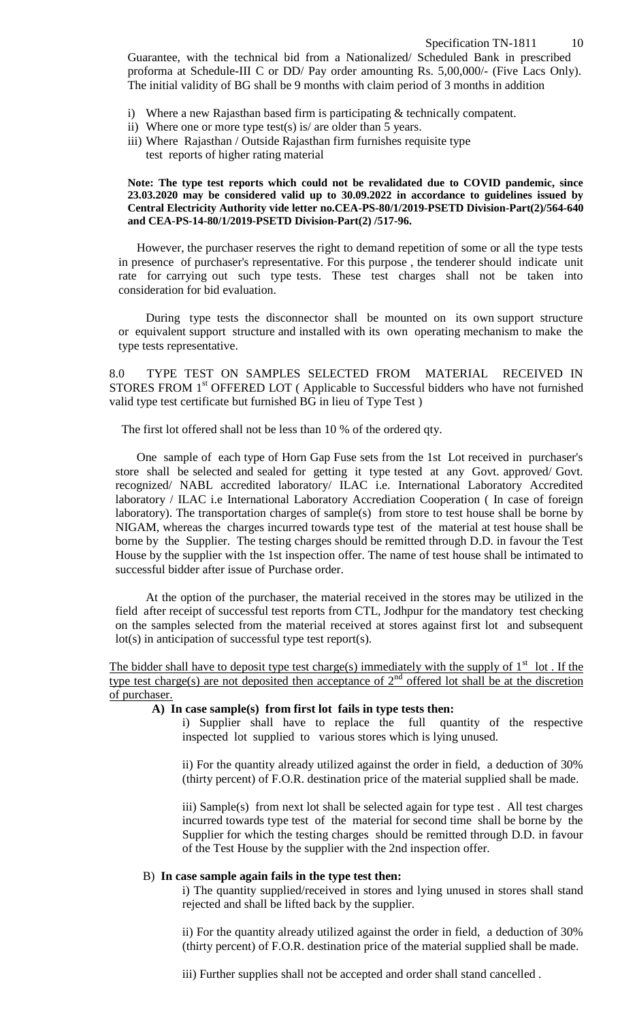Guarantee, with the technical bid from a Nationalized/ Scheduled Bank in prescribed proforma at Schedule-III C or DD/ Pay order amounting Rs. 5,00,000/- (Five Lacs Only). The initial validity of BG shall be 9 months with claim period of 3 months in addition

- i) Where a new Rajasthan based firm is participating & technically compatent.
- ii) Where one or more type test(s) is/ are older than 5 years.
- iii) Where Rajasthan / Outside Rajasthan firm furnishes requisite type test reports of higher rating material

#### **Note: The type test reports which could not be revalidated due to COVID pandemic, since 23.03.2020 may be considered valid up to 30.09.2022 in accordance to guidelines issued by Central Electricity Authority vide letter no.CEA-PS-80/1/2019-PSETD Division-Part(2)/564-640 and CEA-PS-14-80/1/2019-PSETD Division-Part(2) /517-96.**

 However, the purchaser reserves the right to demand repetition of some or all the type tests in presence of purchaser's representative. For this purpose , the tenderer should indicate unit rate for carrying out such type tests. These test charges shall not be taken into consideration for bid evaluation.

 During type tests the disconnector shall be mounted on its own support structure or equivalent support structure and installed with its own operating mechanism to make the type tests representative.

8.0 TYPE TEST ON SAMPLES SELECTED FROM MATERIAL RECEIVED IN STORES FROM 1<sup>st</sup> OFFERED LOT (Applicable to Successful bidders who have not furnished valid type test certificate but furnished BG in lieu of Type Test )

The first lot offered shall not be less than 10 % of the ordered qty.

 One sample of each type of Horn Gap Fuse sets from the 1st Lot received in purchaser's store shall be selected and sealed for getting it type tested at any Govt. approved/ Govt. recognized/ NABL accredited laboratory/ ILAC i.e. International Laboratory Accredited laboratory / ILAC i.e International Laboratory Accrediation Cooperation ( In case of foreign laboratory). The transportation charges of sample(s) from store to test house shall be borne by NIGAM, whereas the charges incurred towards type test of the material at test house shall be borne by the Supplier. The testing charges should be remitted through D.D. in favour the Test House by the supplier with the 1st inspection offer. The name of test house shall be intimated to successful bidder after issue of Purchase order.

At the option of the purchaser, the material received in the stores may be utilized in the field after receipt of successful test reports from CTL, Jodhpur for the mandatory test checking on the samples selected from the material received at stores against first lot and subsequent lot(s) in anticipation of successful type test report(s).

The bidder shall have to deposit type test charge(s) immediately with the supply of  $1<sup>st</sup>$  lot . If the type test charge(s) are not deposited then acceptance of  $2<sup>nd</sup>$  offered lot shall be at the discretion of purchaser.

#### **A) In case sample(s) from first lot fails in type tests then:**

i) Supplier shall have to replace the full quantity of the respective inspected lot supplied to various stores which is lying unused.

ii) For the quantity already utilized against the order in field, a deduction of 30% (thirty percent) of F.O.R. destination price of the material supplied shall be made.

iii) Sample(s) from next lot shall be selected again for type test . All test charges incurred towards type test of the material for second time shall be borne by the Supplier for which the testing charges should be remitted through D.D. in favour of the Test House by the supplier with the 2nd inspection offer.

#### B) **In case sample again fails in the type test then:**

i) The quantity supplied/received in stores and lying unused in stores shall stand rejected and shall be lifted back by the supplier.

ii) For the quantity already utilized against the order in field, a deduction of 30% (thirty percent) of F.O.R. destination price of the material supplied shall be made.

iii) Further supplies shall not be accepted and order shall stand cancelled .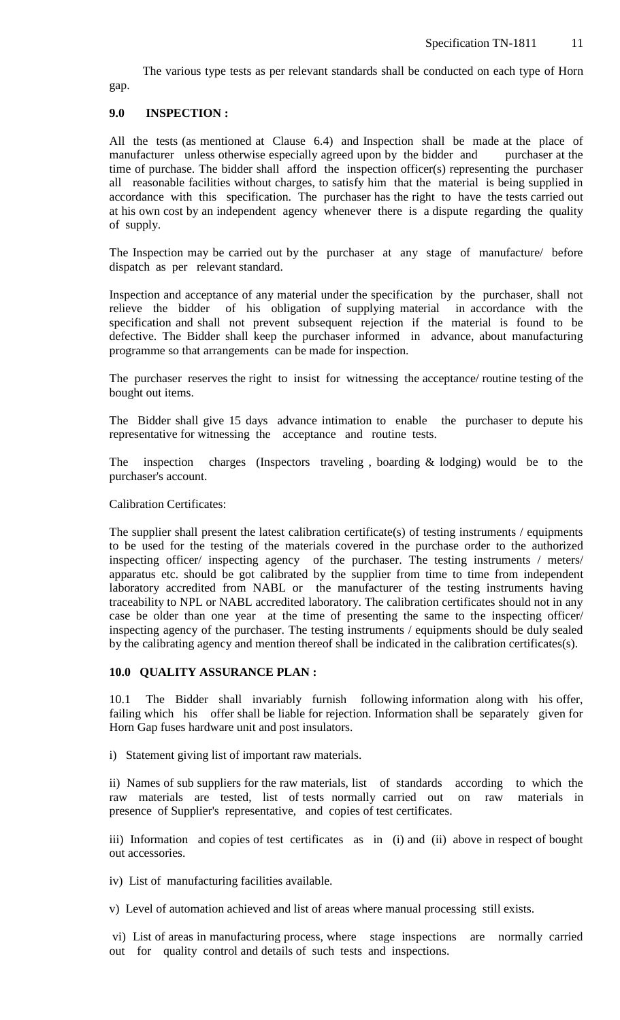The various type tests as per relevant standards shall be conducted on each type of Horn gap.

## **9.0 INSPECTION :**

All the tests (as mentioned at Clause 6.4) and Inspection shall be made at the place of manufacturer unless otherwise especially agreed upon by the bidder and purchaser at the time of purchase. The bidder shall afford the inspection officer(s) representing the purchaser all reasonable facilities without charges, to satisfy him that the material is being supplied in accordance with this specification. The purchaser has the right to have the tests carried out at his own cost by an independent agency whenever there is a dispute regarding the quality of supply.

The Inspection may be carried out by the purchaser at any stage of manufacture/ before dispatch as per relevant standard.

Inspection and acceptance of any material under the specification by the purchaser, shall not relieve the bidder of his obligation of supplying material in accordance with the specification and shall not prevent subsequent rejection if the material is found to be defective. The Bidder shall keep the purchaser informed in advance, about manufacturing programme so that arrangements can be made for inspection.

The purchaser reserves the right to insist for witnessing the acceptance/ routine testing of the bought out items.

The Bidder shall give 15 days advance intimation to enable the purchaser to depute his representative for witnessing the acceptance and routine tests.

The inspection charges (Inspectors traveling , boarding & lodging) would be to the purchaser's account.

Calibration Certificates:

The supplier shall present the latest calibration certificate(s) of testing instruments / equipments to be used for the testing of the materials covered in the purchase order to the authorized inspecting officer/ inspecting agency of the purchaser. The testing instruments / meters/ apparatus etc. should be got calibrated by the supplier from time to time from independent laboratory accredited from NABL or the manufacturer of the testing instruments having traceability to NPL or NABL accredited laboratory. The calibration certificates should not in any case be older than one year at the time of presenting the same to the inspecting officer/ inspecting agency of the purchaser. The testing instruments / equipments should be duly sealed by the calibrating agency and mention thereof shall be indicated in the calibration certificates(s).

#### **10.0 QUALITY ASSURANCE PLAN :**

10.1 The Bidder shall invariably furnish following information along with his offer, failing which his offer shall be liable for rejection. Information shall be separately given for Horn Gap fuses hardware unit and post insulators.

i) Statement giving list of important raw materials.

ii) Names of sub suppliers for the raw materials, list of standards according to which the raw materials are tested, list of tests normally carried out on raw materials in presence of Supplier's representative, and copies of test certificates.

iii) Information and copies of test certificates as in (i) and (ii) above in respect of bought out accessories.

iv) List of manufacturing facilities available.

v) Level of automation achieved and list of areas where manual processing still exists.

vi) List of areas in manufacturing process, where stage inspections are normally carried out for quality control and details of such tests and inspections.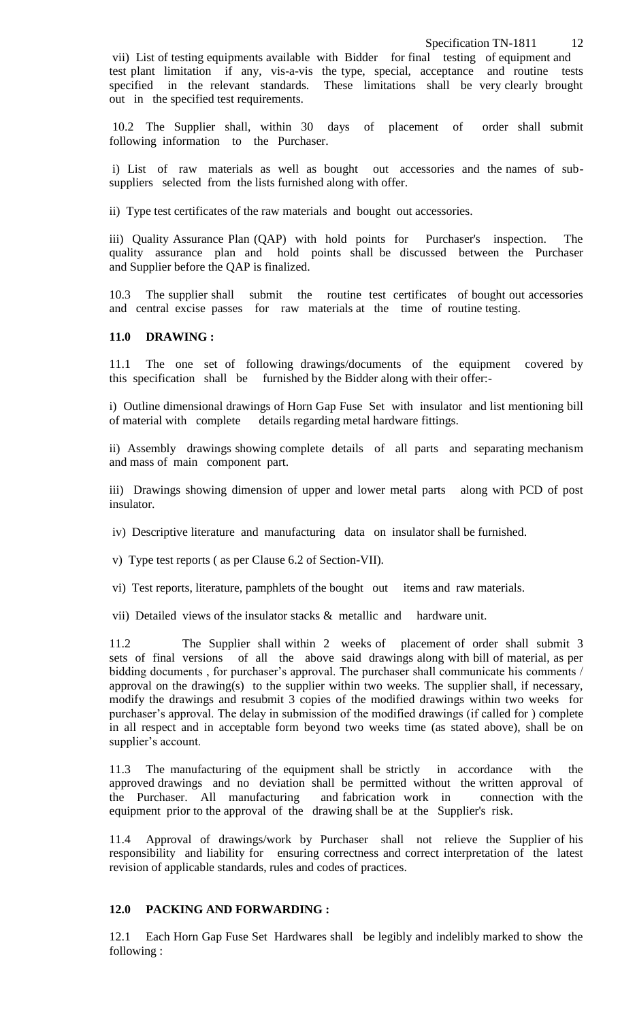vii) List of testing equipments available with Bidder for final testing of equipment and test plant limitation if any, vis-a-vis the type, special, acceptance and routine tests specified in the relevant standards. These limitations shall be very clearly brought out in the specified test requirements.

10.2 The Supplier shall, within 30 days of placement of order shall submit following information to the Purchaser.

i) List of raw materials as well as bought out accessories and the names of subsuppliers selected from the lists furnished along with offer.

ii) Type test certificates of the raw materials and bought out accessories.

iii) Quality Assurance Plan (QAP) with hold points for Purchaser's inspection. The quality assurance plan and hold points shall be discussed between the Purchaser and Supplier before the QAP is finalized.

10.3 The supplier shall submit the routine test certificates of bought out accessories and central excise passes for raw materials at the time of routine testing.

#### **11.0 DRAWING :**

11.1 The one set of following drawings/documents of the equipment covered by this specification shall be furnished by the Bidder along with their offer:-

i) Outline dimensional drawings of Horn Gap Fuse Set with insulator and list mentioning bill of material with complete details regarding metal hardware fittings.

ii) Assembly drawings showing complete details of all parts and separating mechanism and mass of main component part.

iii) Drawings showing dimension of upper and lower metal parts along with PCD of post insulator.

iv) Descriptive literature and manufacturing data on insulator shall be furnished.

v) Type test reports ( as per Clause 6.2 of Section-VII).

vi) Test reports, literature, pamphlets of the bought out items and raw materials.

vii) Detailed views of the insulator stacks & metallic and hardware unit.

11.2 The Supplier shall within 2 weeks of placement of order shall submit 3 sets of final versions of all the above said drawings along with bill of material, as per bidding documents, for purchaser's approval. The purchaser shall communicate his comments / approval on the drawing(s) to the supplier within two weeks. The supplier shall, if necessary, modify the drawings and resubmit 3 copies of the modified drawings within two weeks for purchaser's approval. The delay in submission of the modified drawings (if called for ) complete in all respect and in acceptable form beyond two weeks time (as stated above), shall be on supplier's account.

11.3 The manufacturing of the equipment shall be strictly in accordance with the approved drawings and no deviation shall be permitted without the written approval of the Purchaser. All manufacturing and fabrication work in connection with the equipment prior to the approval of the drawing shall be at the Supplier's risk.

11.4 Approval of drawings/work by Purchaser shall not relieve the Supplier of his responsibility and liability for ensuring correctness and correct interpretation of the latest revision of applicable standards, rules and codes of practices.

#### **12.0 PACKING AND FORWARDING :**

12.1 Each Horn Gap Fuse Set Hardwares shall be legibly and indelibly marked to show the following :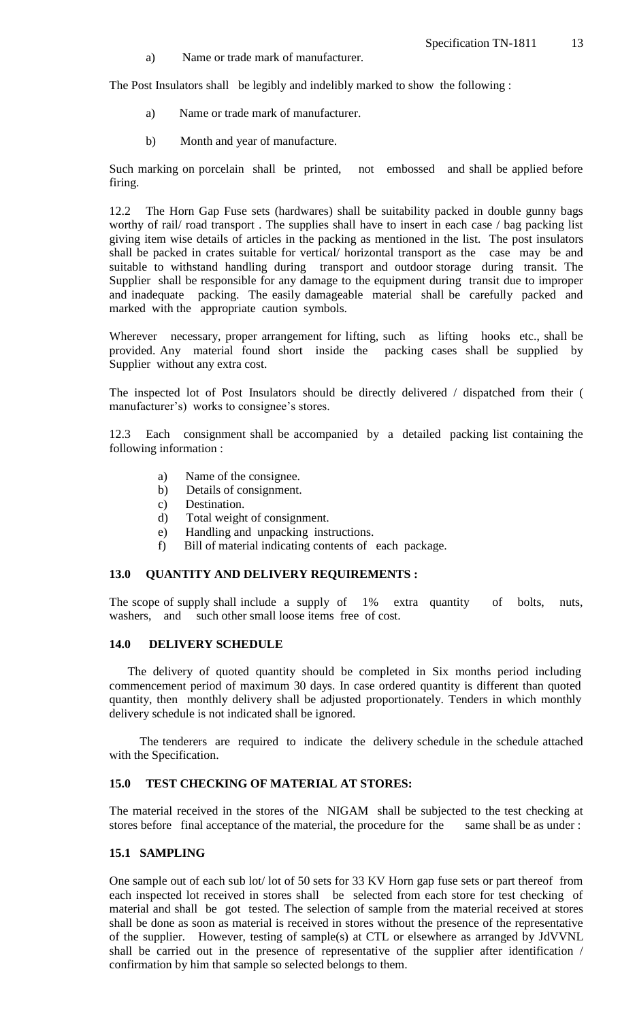a) Name or trade mark of manufacturer.

The Post Insulators shall be legibly and indelibly marked to show the following :

- a) Name or trade mark of manufacturer.
- b) Month and year of manufacture.

Such marking on porcelain shall be printed, not embossed and shall be applied before firing.

12.2 The Horn Gap Fuse sets (hardwares) shall be suitability packed in double gunny bags worthy of rail/ road transport . The supplies shall have to insert in each case / bag packing list giving item wise details of articles in the packing as mentioned in the list. The post insulators shall be packed in crates suitable for vertical/ horizontal transport as the case may be and suitable to withstand handling during transport and outdoor storage during transit. The Supplier shall be responsible for any damage to the equipment during transit due to improper and inadequate packing. The easily damageable material shall be carefully packed and marked with the appropriate caution symbols.

Wherever necessary, proper arrangement for lifting, such as lifting hooks etc., shall be provided. Any material found short inside the packing cases shall be supplied by Supplier without any extra cost.

The inspected lot of Post Insulators should be directly delivered / dispatched from their ( manufacturer's) works to consignee's stores.

12.3 Each consignment shall be accompanied by a detailed packing list containing the following information :

- a) Name of the consignee.
- b) Details of consignment.
- c) Destination.
- d) Total weight of consignment.
- e) Handling and unpacking instructions.
- f) Bill of material indicating contents of each package.

#### **13.0 QUANTITY AND DELIVERY REQUIREMENTS :**

The scope of supply shall include a supply of 1% extra quantity of bolts, nuts, washers, and such other small loose items free of cost.

#### **14.0 DELIVERY SCHEDULE**

 The delivery of quoted quantity should be completed in Six months period including commencement period of maximum 30 days. In case ordered quantity is different than quoted quantity, then monthly delivery shall be adjusted proportionately. Tenders in which monthly delivery schedule is not indicated shall be ignored.

The tenderers are required to indicate the delivery schedule in the schedule attached with the Specification.

## **15.0 TEST CHECKING OF MATERIAL AT STORES:**

The material received in the stores of the NIGAM shall be subjected to the test checking at stores before final acceptance of the material, the procedure for the same shall be as under :

#### **15.1 SAMPLING**

One sample out of each sub lot/ lot of 50 sets for 33 KV Horn gap fuse sets or part thereof from each inspected lot received in stores shall be selected from each store for test checking of material and shall be got tested. The selection of sample from the material received at stores shall be done as soon as material is received in stores without the presence of the representative of the supplier. However, testing of sample(s) at CTL or elsewhere as arranged by JdVVNL shall be carried out in the presence of representative of the supplier after identification / confirmation by him that sample so selected belongs to them.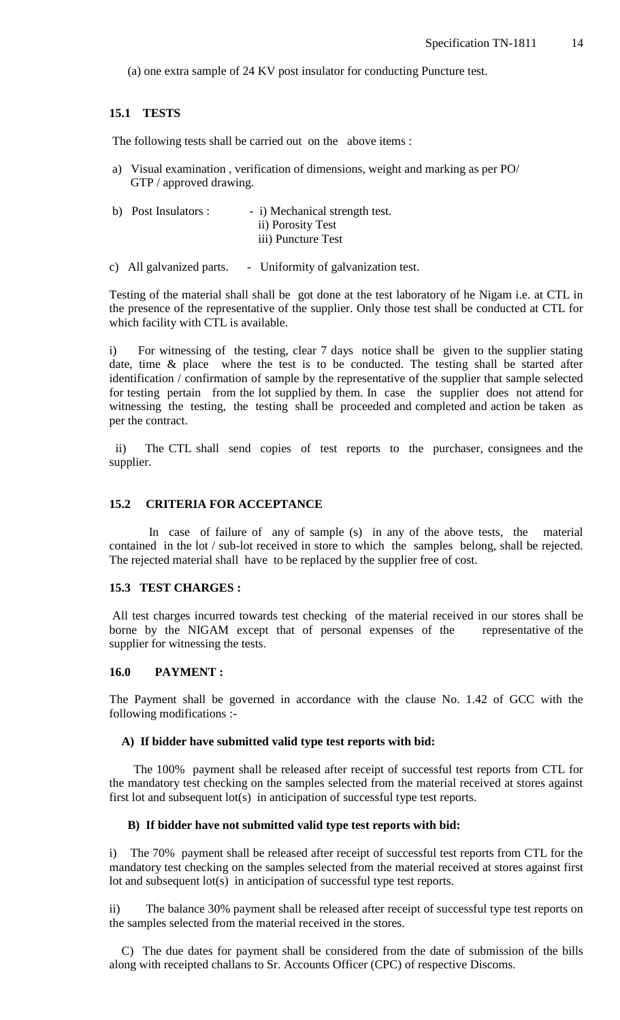(a) one extra sample of 24 KV post insulator for conducting Puncture test.

## **15.1 TESTS**

The following tests shall be carried out on the above items :

a) Visual examination , verification of dimensions, weight and marking as per PO/ GTP / approved drawing.

| b) Post Insulators : | - i) Mechanical strength test. |
|----------------------|--------------------------------|
|                      | ii) Porosity Test              |
|                      | iii) Puncture Test             |

c) All galvanized parts. - Uniformity of galvanization test.

Testing of the material shall shall be got done at the test laboratory of he Nigam i.e. at CTL in the presence of the representative of the supplier. Only those test shall be conducted at CTL for which facility with CTL is available.

i) For witnessing of the testing, clear 7 days notice shall be given to the supplier stating date, time & place where the test is to be conducted. The testing shall be started after identification / confirmation of sample by the representative of the supplier that sample selected for testing pertain from the lot supplied by them. In case the supplier does not attend for witnessing the testing, the testing shall be proceeded and completed and action be taken as per the contract.

 ii) The CTL shall send copies of test reports to the purchaser, consignees and the supplier.

## **15.2 CRITERIA FOR ACCEPTANCE**

 In case of failure of any of sample (s) in any of the above tests, the material contained in the lot / sub-lot received in store to which the samples belong, shall be rejected. The rejected material shall have to be replaced by the supplier free of cost.

#### **15.3 TEST CHARGES :**

All test charges incurred towards test checking of the material received in our stores shall be borne by the NIGAM except that of personal expenses of the representative of the supplier for witnessing the tests.

#### **16.0 PAYMENT :**

The Payment shall be governed in accordance with the clause No. 1.42 of GCC with the following modifications :-

#### **A) If bidder have submitted valid type test reports with bid:**

 The 100% payment shall be released after receipt of successful test reports from CTL for the mandatory test checking on the samples selected from the material received at stores against first lot and subsequent lot(s) in anticipation of successful type test reports.

#### **B) If bidder have not submitted valid type test reports with bid:**

i) The 70% payment shall be released after receipt of successful test reports from CTL for the mandatory test checking on the samples selected from the material received at stores against first lot and subsequent lot(s) in anticipation of successful type test reports.

ii) The balance 30% payment shall be released after receipt of successful type test reports on the samples selected from the material received in the stores.

 C) The due dates for payment shall be considered from the date of submission of the bills along with receipted challans to Sr. Accounts Officer (CPC) of respective Discoms.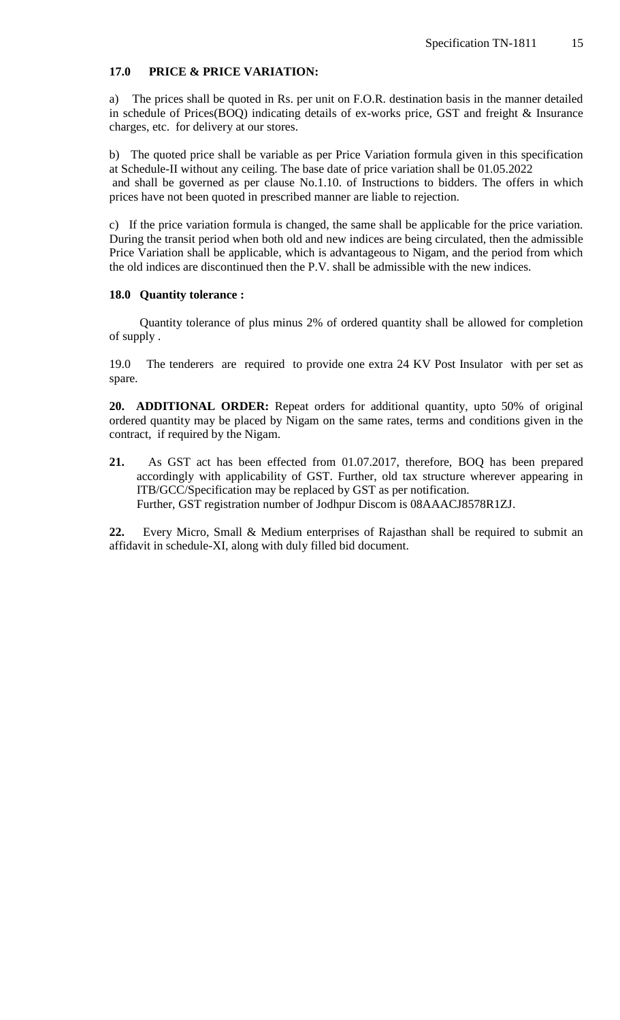#### **17.0 PRICE & PRICE VARIATION:**

a) The prices shall be quoted in Rs. per unit on F.O.R. destination basis in the manner detailed in schedule of Prices(BOQ) indicating details of ex-works price, GST and freight & Insurance charges, etc. for delivery at our stores.

b) The quoted price shall be variable as per Price Variation formula given in this specification at Schedule-II without any ceiling. The base date of price variation shall be 01.05.2022 and shall be governed as per clause No.1.10. of Instructions to bidders. The offers in which prices have not been quoted in prescribed manner are liable to rejection.

c) If the price variation formula is changed, the same shall be applicable for the price variation. During the transit period when both old and new indices are being circulated, then the admissible Price Variation shall be applicable, which is advantageous to Nigam, and the period from which the old indices are discontinued then the P.V. shall be admissible with the new indices.

#### **18.0 Quantity tolerance :**

 Quantity tolerance of plus minus 2% of ordered quantity shall be allowed for completion of supply .

19.0 The tenderers are required to provide one extra 24 KV Post Insulator with per set as spare.

**20. ADDITIONAL ORDER:** Repeat orders for additional quantity, upto 50% of original ordered quantity may be placed by Nigam on the same rates, terms and conditions given in the contract, if required by the Nigam.

**21.** As GST act has been effected from 01.07.2017, therefore, BOQ has been prepared accordingly with applicability of GST. Further, old tax structure wherever appearing in ITB/GCC/Specification may be replaced by GST as per notification. Further, GST registration number of Jodhpur Discom is 08AAACJ8578R1ZJ.

**22.** Every Micro, Small & Medium enterprises of Rajasthan shall be required to submit an affidavit in schedule-XI, along with duly filled bid document.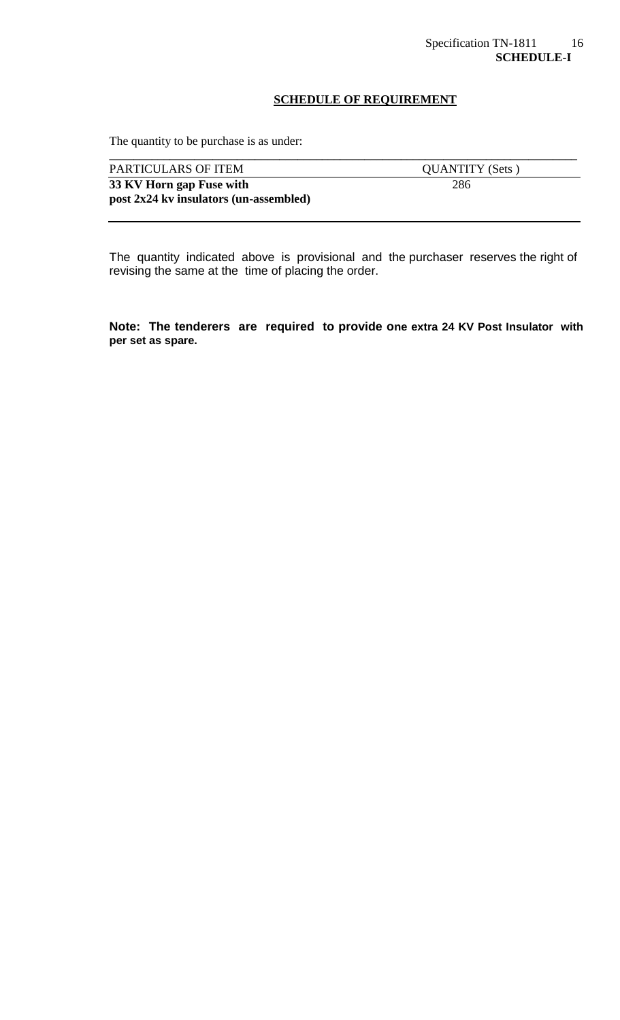## **SCHEDULE OF REQUIREMENT**

The quantity to be purchase is as under:

| PARTICULARS OF ITEM                    | <b>QUANTITY</b> (Sets) |
|----------------------------------------|------------------------|
| 33 KV Horn gap Fuse with               | 286                    |
| post 2x24 kv insulators (un-assembled) |                        |
|                                        |                        |

The quantity indicated above is provisional and the purchaser reserves the right of revising the same at the time of placing the order.

**Note: The tenderers are required to provide one extra 24 KV Post Insulator with per set as spare.**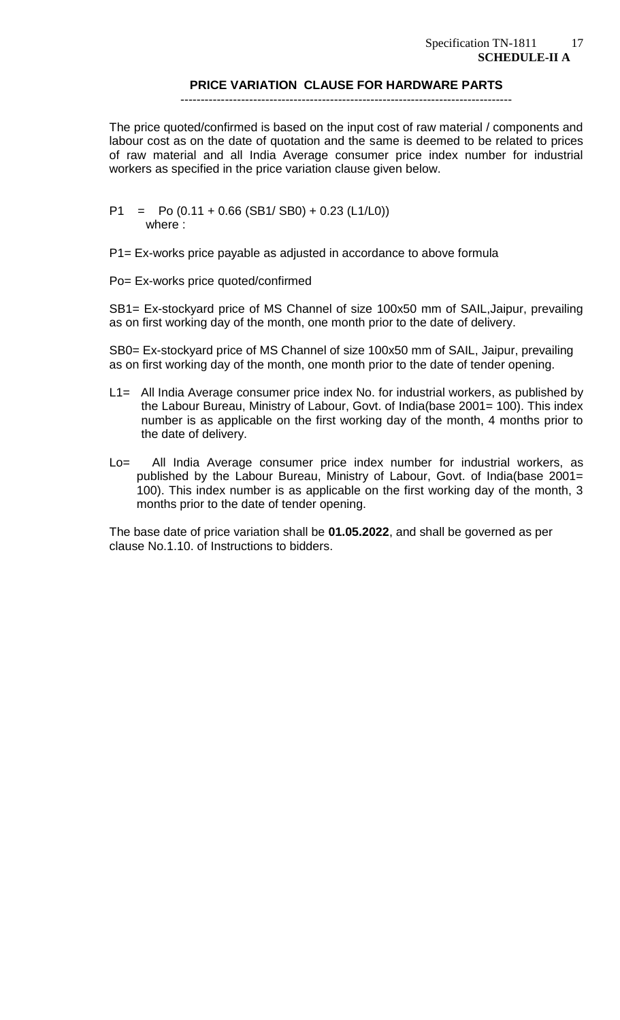#### **PRICE VARIATION CLAUSE FOR HARDWARE PARTS**

## ----------------------------------------------------------------------------------

The price quoted/confirmed is based on the input cost of raw material / components and labour cost as on the date of quotation and the same is deemed to be related to prices of raw material and all India Average consumer price index number for industrial workers as specified in the price variation clause given below.

 $P1 = Po (0.11 + 0.66 (SB1/SB0) + 0.23 (L1/L0))$ where :

P1= Ex-works price payable as adjusted in accordance to above formula

Po= Ex-works price quoted/confirmed

SB1= Ex-stockyard price of MS Channel of size 100x50 mm of SAIL,Jaipur, prevailing as on first working day of the month, one month prior to the date of delivery.

SB0= Ex-stockyard price of MS Channel of size 100x50 mm of SAIL, Jaipur, prevailing as on first working day of the month, one month prior to the date of tender opening.

- L1= All India Average consumer price index No. for industrial workers, as published by the Labour Bureau, Ministry of Labour, Govt. of India(base 2001= 100). This index number is as applicable on the first working day of the month, 4 months prior to the date of delivery.
- Lo= All India Average consumer price index number for industrial workers, as published by the Labour Bureau, Ministry of Labour, Govt. of India(base 2001= 100). This index number is as applicable on the first working day of the month, 3 months prior to the date of tender opening.

The base date of price variation shall be **01.05.2022**, and shall be governed as per clause No.1.10. of Instructions to bidders.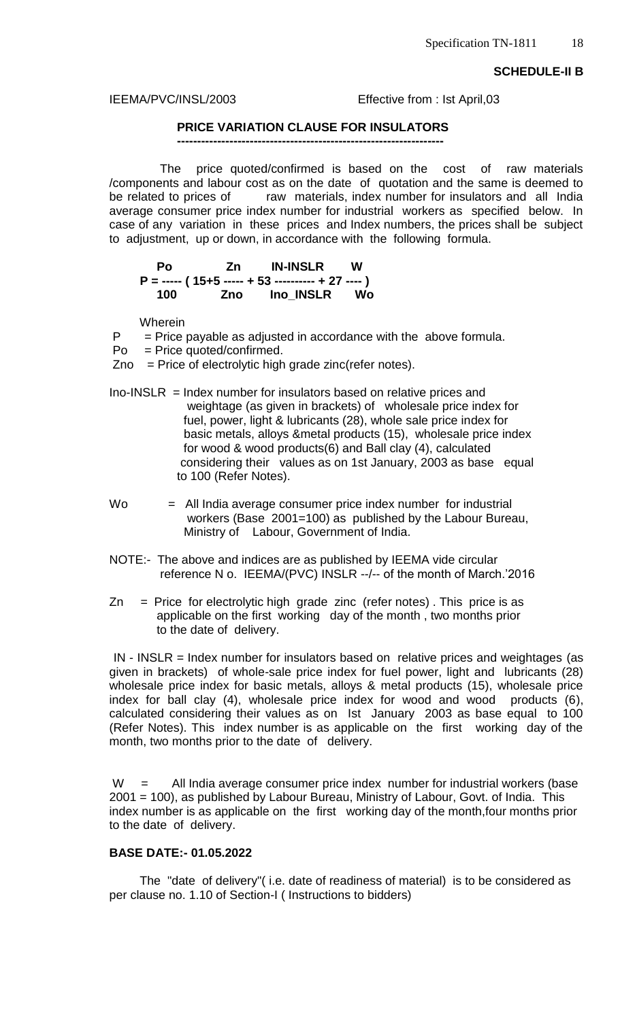**SCHEDULE-II B**

#### IEEMA/PVC/INSL/2003 Effective from : Ist April,03

## **PRICE VARIATION CLAUSE FOR INSULATORS**

 **------------------------------------------------------------------**

 The price quoted/confirmed is based on the cost of raw materials /components and labour cost as on the date of quotation and the same is deemed to be related to prices of raw materials, index number for insulators and all India average consumer price index number for industrial workers as specified below. In case of any variation in these prices and Index numbers, the prices shall be subject to adjustment, up or down, in accordance with the following formula.

| Pο  | <b>Zn IN-INSLR W</b>                                |  |
|-----|-----------------------------------------------------|--|
|     | $P =$ ----- (15+5 ----- + 53 ---------- + 27 ---- ) |  |
| 100 | Zno Ino INSLR Wo                                    |  |

Wherein

 $P =$  Price payable as adjusted in accordance with the above formula.

Po = Price quoted/confirmed.

 $Zno = Price of electrolytic high grade zinc(refer notes).$ 

 $Ino-INSLR = Index number for insulators based on relative prices and$  weightage (as given in brackets) of wholesale price index for fuel, power, light & lubricants (28), whole sale price index for basic metals, alloys &metal products (15), wholesale price index for wood & wood products(6) and Ball clay (4), calculated considering their values as on 1st January, 2003 as base equal to 100 (Refer Notes).

Wo = All India average consumer price index number for industrial workers (Base 2001=100) as published by the Labour Bureau, Ministry of Labour, Government of India.

- NOTE:- The above and indices are as published by IEEMA vide circular reference N o. IEEMA/(PVC) INSLR --/-- of the month of March.'2016
- $Zn =$  Price for electrolytic high grade zinc (refer notes). This price is as applicable on the first working day of the month , two months prior to the date of delivery.

 IN - INSLR = Index number for insulators based on relative prices and weightages (as given in brackets) of whole-sale price index for fuel power, light and lubricants (28) wholesale price index for basic metals, alloys & metal products (15), wholesale price index for ball clay (4), wholesale price index for wood and wood products (6), calculated considering their values as on Ist January 2003 as base equal to 100 (Refer Notes). This index number is as applicable on the first working day of the month, two months prior to the date of delivery.

 $W =$  All India average consumer price index number for industrial workers (base 2001 = 100), as published by Labour Bureau, Ministry of Labour, Govt. of India. This index number is as applicable on the first working day of the month,four months prior to the date of delivery.

## **BASE DATE:- 01.05.2022**

 The "date of delivery"( i.e. date of readiness of material) is to be considered as per clause no. 1.10 of Section-I ( Instructions to bidders)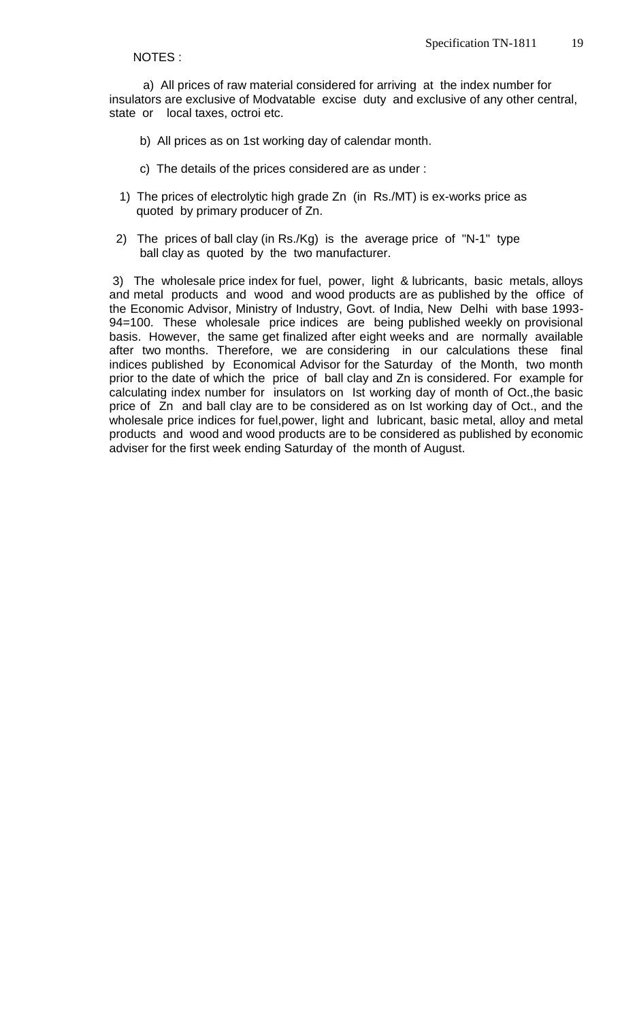#### NOTES :

 a) All prices of raw material considered for arriving at the index number for insulators are exclusive of Modvatable excise duty and exclusive of any other central, state or local taxes, octroi etc.

- b) All prices as on 1st working day of calendar month.
- c) The details of the prices considered are as under :
- 1) The prices of electrolytic high grade Zn (in Rs./MT) is ex-works price as quoted by primary producer of Zn.
- 2) The prices of ball clay (in Rs./Kg) is the average price of "N-1" type ball clay as quoted by the two manufacturer.

3) The wholesale price index for fuel, power, light & lubricants, basic metals, alloys and metal products and wood and wood products are as published by the office of the Economic Advisor, Ministry of Industry, Govt. of India, New Delhi with base 1993- 94=100. These wholesale price indices are being published weekly on provisional basis. However, the same get finalized after eight weeks and are normally available after two months. Therefore, we are considering in our calculations these final indices published by Economical Advisor for the Saturday of the Month, two month prior to the date of which the price of ball clay and Zn is considered. For example for calculating index number for insulators on Ist working day of month of Oct.,the basic price of Zn and ball clay are to be considered as on Ist working day of Oct., and the wholesale price indices for fuel,power, light and lubricant, basic metal, alloy and metal products and wood and wood products are to be considered as published by economic adviser for the first week ending Saturday of the month of August.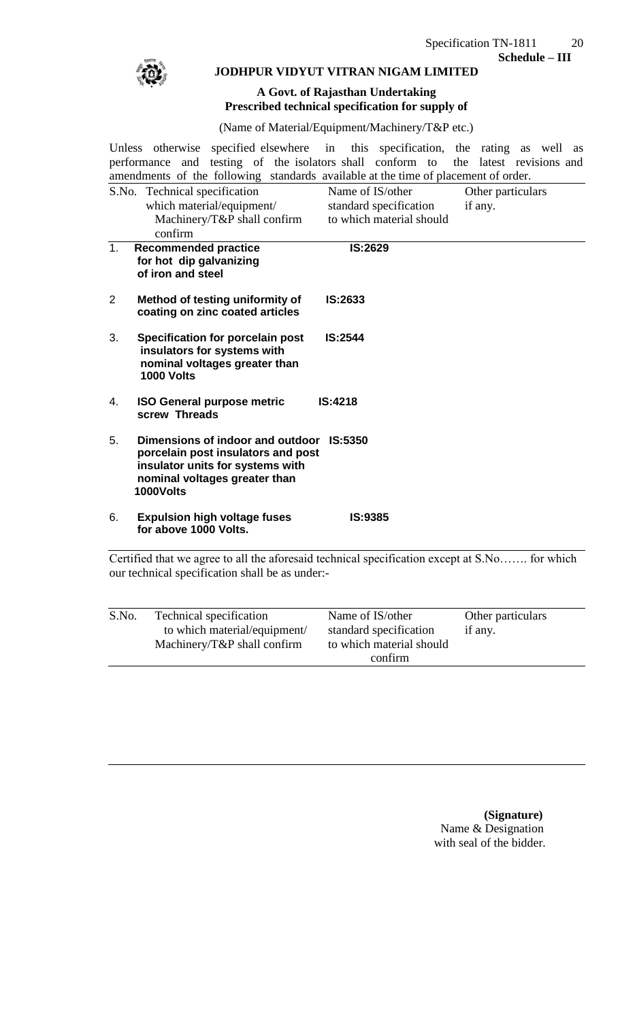

## **JODHPUR VIDYUT VITRAN NIGAM LIMITED**

## **A Govt. of Rajasthan Undertaking Prescribed technical specification for supply of**

(Name of Material/Equipment/Machinery/T&P etc.)

Unless otherwise specified elsewhere in this specification, the rating as well as performance and testing of the isolators shall conform to the latest revisions and performance and testing of the isolators shall conform to the latest revisions and amendments of the following standards available at the time of placement of order.

|                | S.No. Technical specification                                                                                                                                                                                                  | Name of IS/other         | Other particulars |
|----------------|--------------------------------------------------------------------------------------------------------------------------------------------------------------------------------------------------------------------------------|--------------------------|-------------------|
|                | which material/equipment/                                                                                                                                                                                                      | standard specification   | if any.           |
|                | Machinery/T&P shall confirm                                                                                                                                                                                                    | to which material should |                   |
|                | confirm                                                                                                                                                                                                                        |                          |                   |
| 1 <sub>1</sub> | <b>Recommended practice</b><br>for hot dip galvanizing<br>of iron and steel                                                                                                                                                    | <b>IS:2629</b>           |                   |
| 2              | Method of testing uniformity of<br>coating on zinc coated articles                                                                                                                                                             | IS:2633                  |                   |
| 3.             | <b>Specification for porcelain post</b><br>insulators for systems with<br>nominal voltages greater than<br><b>1000 Volts</b>                                                                                                   | IS:2544                  |                   |
| 4.             | <b>ISO General purpose metric</b><br>screw Threads                                                                                                                                                                             | <b>IS:4218</b>           |                   |
| 5.             | Dimensions of indoor and outdoor IS:5350<br>porcelain post insulators and post<br>insulator units for systems with<br>nominal voltages greater than<br>1000Volts                                                               |                          |                   |
| 6.             | <b>Expulsion high voltage fuses</b><br>for above 1000 Volts.                                                                                                                                                                   | <b>IS:9385</b>           |                   |
|                | Certified that we agree to all the aforesaid technical specification except at S.No for which<br>$\frac{1}{1}$ $\frac{1}{1}$ $\frac{1}{1}$ $\frac{1}{1}$ $\frac{1}{1}$ $\frac{1}{1}$ $\frac{1}{1}$ $\frac{1}{1}$ $\frac{1}{1}$ |                          |                   |

our technical specification shall be as under:-

| S.No. | Technical specification      | Name of IS/other         | Other particulars |
|-------|------------------------------|--------------------------|-------------------|
|       | to which material/equipment/ | standard specification   | if any.           |
|       | Machinery/T&P shall confirm  | to which material should |                   |
|       |                              | confirm                  |                   |
|       |                              |                          |                   |

 **(Signature)** Name & Designation with seal of the bidder.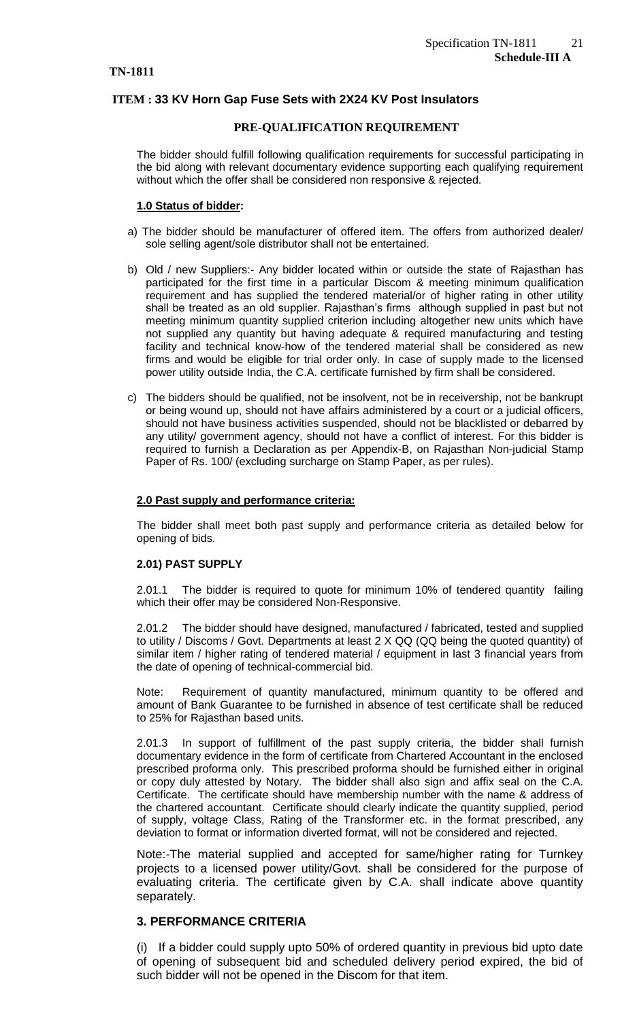## **ITEM : 33 KV Horn Gap Fuse Sets with 2X24 KV Post Insulators**

#### **PRE-QUALIFICATION REQUIREMENT**

The bidder should fulfill following qualification requirements for successful participating in the bid along with relevant documentary evidence supporting each qualifying requirement without which the offer shall be considered non responsive & rejected.

#### **1.0 Status of bidder:**

- a) The bidder should be manufacturer of offered item. The offers from authorized dealer/ sole selling agent/sole distributor shall not be entertained.
- b) Old / new Suppliers:- Any bidder located within or outside the state of Rajasthan has participated for the first time in a particular Discom & meeting minimum qualification requirement and has supplied the tendered material/or of higher rating in other utility shall be treated as an old supplier. Rajasthan's firms although supplied in past but not meeting minimum quantity supplied criterion including altogether new units which have not supplied any quantity but having adequate & required manufacturing and testing facility and technical know-how of the tendered material shall be considered as new firms and would be eligible for trial order only. In case of supply made to the licensed power utility outside India, the C.A. certificate furnished by firm shall be considered.
- c) The bidders should be qualified, not be insolvent, not be in receivership, not be bankrupt or being wound up, should not have affairs administered by a court or a judicial officers, should not have business activities suspended, should not be blacklisted or debarred by any utility/ government agency, should not have a conflict of interest. For this bidder is required to furnish a Declaration as per Appendix-B, on Rajasthan Non-judicial Stamp Paper of Rs. 100/ (excluding surcharge on Stamp Paper, as per rules).

#### **2.0 Past supply and performance criteria:**

The bidder shall meet both past supply and performance criteria as detailed below for opening of bids.

#### **2.01) PAST SUPPLY**

2.01.1 The bidder is required to quote for minimum 10% of tendered quantity failing which their offer may be considered Non-Responsive.

2.01.2 The bidder should have designed, manufactured / fabricated, tested and supplied to utility / Discoms / Govt. Departments at least 2 X QQ (QQ being the quoted quantity) of similar item / higher rating of tendered material / equipment in last 3 financial years from the date of opening of technical-commercial bid.

Note: Requirement of quantity manufactured, minimum quantity to be offered and amount of Bank Guarantee to be furnished in absence of test certificate shall be reduced to 25% for Rajasthan based units.

2.01.3 In support of fulfillment of the past supply criteria, the bidder shall furnish documentary evidence in the form of certificate from Chartered Accountant in the enclosed prescribed proforma only. This prescribed proforma should be furnished either in original or copy duly attested by Notary. The bidder shall also sign and affix seal on the C.A. Certificate. The certificate should have membership number with the name & address of the chartered accountant. Certificate should clearly indicate the quantity supplied, period of supply, voltage Class, Rating of the Transformer etc. in the format prescribed, any deviation to format or information diverted format, will not be considered and rejected.

Note:-The material supplied and accepted for same/higher rating for Turnkey projects to a licensed power utility/Govt. shall be considered for the purpose of evaluating criteria. The certificate given by C.A. shall indicate above quantity separately.

#### **3. PERFORMANCE CRITERIA**

(i) If a bidder could supply upto 50% of ordered quantity in previous bid upto date of opening of subsequent bid and scheduled delivery period expired, the bid of such bidder will not be opened in the Discom for that item.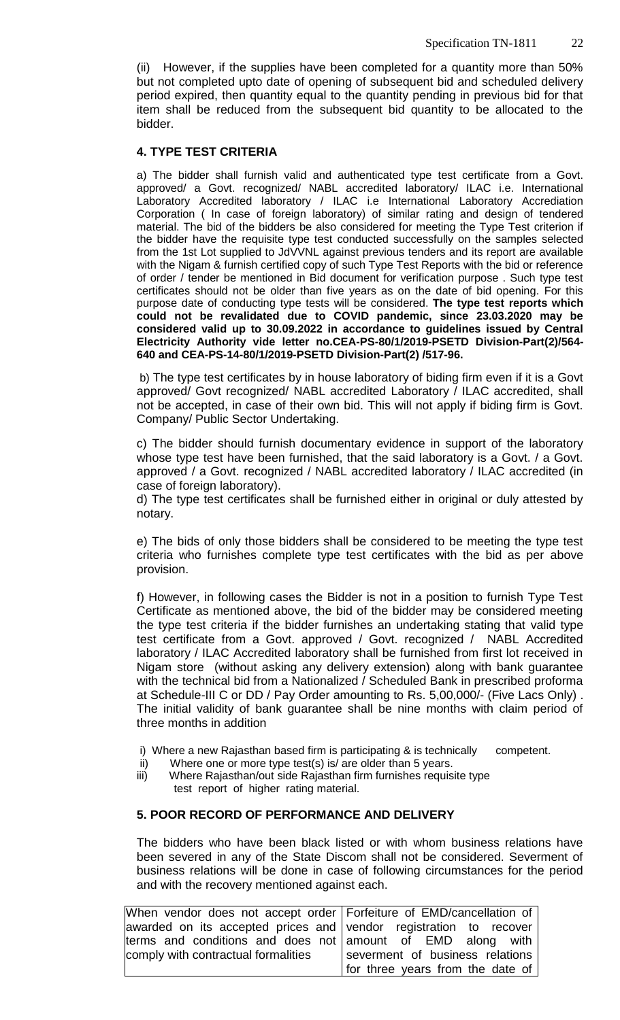(ii) However, if the supplies have been completed for a quantity more than 50% but not completed upto date of opening of subsequent bid and scheduled delivery period expired, then quantity equal to the quantity pending in previous bid for that item shall be reduced from the subsequent bid quantity to be allocated to the bidder.

## **4. TYPE TEST CRITERIA**

a) The bidder shall furnish valid and authenticated type test certificate from a Govt. approved/ a Govt. recognized/ NABL accredited laboratory/ ILAC i.e. International Laboratory Accredited laboratory / ILAC i.e International Laboratory Accrediation Corporation ( In case of foreign laboratory) of similar rating and design of tendered material. The bid of the bidders be also considered for meeting the Type Test criterion if the bidder have the requisite type test conducted successfully on the samples selected from the 1st Lot supplied to JdVVNL against previous tenders and its report are available with the Nigam & furnish certified copy of such Type Test Reports with the bid or reference of order / tender be mentioned in Bid document for verification purpose . Such type test certificates should not be older than five years as on the date of bid opening. For this purpose date of conducting type tests will be considered. **The type test reports which could not be revalidated due to COVID pandemic, since 23.03.2020 may be considered valid up to 30.09.2022 in accordance to guidelines issued by Central Electricity Authority vide letter no.CEA-PS-80/1/2019-PSETD Division-Part(2)/564- 640 and CEA-PS-14-80/1/2019-PSETD Division-Part(2) /517-96.**

b) The type test certificates by in house laboratory of biding firm even if it is a Govt approved/ Govt recognized/ NABL accredited Laboratory / ILAC accredited, shall not be accepted, in case of their own bid. This will not apply if biding firm is Govt. Company/ Public Sector Undertaking.

c) The bidder should furnish documentary evidence in support of the laboratory whose type test have been furnished, that the said laboratory is a Govt. / a Govt. approved / a Govt. recognized / NABL accredited laboratory / ILAC accredited (in case of foreign laboratory).

d) The type test certificates shall be furnished either in original or duly attested by notary.

e) The bids of only those bidders shall be considered to be meeting the type test criteria who furnishes complete type test certificates with the bid as per above provision.

f) However, in following cases the Bidder is not in a position to furnish Type Test Certificate as mentioned above, the bid of the bidder may be considered meeting the type test criteria if the bidder furnishes an undertaking stating that valid type test certificate from a Govt. approved / Govt. recognized / NABL Accredited laboratory / ILAC Accredited laboratory shall be furnished from first lot received in Nigam store (without asking any delivery extension) along with bank guarantee with the technical bid from a Nationalized / Scheduled Bank in prescribed proforma at Schedule-III C or DD / Pay Order amounting to Rs. 5,00,000/- (Five Lacs Only) . The initial validity of bank guarantee shall be nine months with claim period of three months in addition

- i) Where a new Rajasthan based firm is participating & is technically competent.<br>ii) Where one or more type test(s) is/ are older than 5 years.
- Where one or more type test(s) is/ are older than 5 years.
- iii) Where Rajasthan/out side Rajasthan firm furnishes requisite type test report of higher rating material.

## **5. POOR RECORD OF PERFORMANCE AND DELIVERY**

The bidders who have been black listed or with whom business relations have been severed in any of the State Discom shall not be considered. Severment of business relations will be done in case of following circumstances for the period and with the recovery mentioned against each.

| When vendor does not accept order Forfeiture of EMD/cancellation of |                                  |
|---------------------------------------------------------------------|----------------------------------|
| awarded on its accepted prices and vendor registration to recover   |                                  |
| terms and conditions and does not amount of EMD along with          |                                  |
| comply with contractual formalities                                 | severment of business relations  |
|                                                                     | for three years from the date of |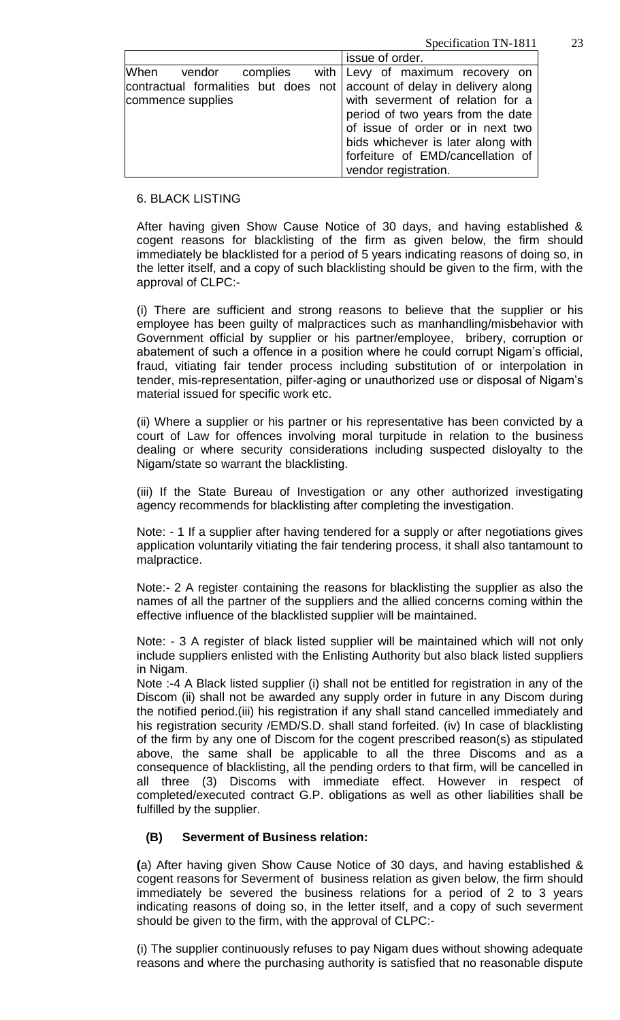Specification TN-1811 23

|                                                                         | issue of order.                    |
|-------------------------------------------------------------------------|------------------------------------|
| When vendor complies with Levy of maximum recovery on                   |                                    |
| contractual formalities but does not account of delay in delivery along |                                    |
| commence supplies                                                       | with severment of relation for a   |
|                                                                         | period of two years from the date  |
|                                                                         | of issue of order or in next two   |
|                                                                         | bids whichever is later along with |
|                                                                         | forfeiture of EMD/cancellation of  |
|                                                                         | vendor registration.               |

## 6. BLACK LISTING

After having given Show Cause Notice of 30 days, and having established & cogent reasons for blacklisting of the firm as given below, the firm should immediately be blacklisted for a period of 5 years indicating reasons of doing so, in the letter itself, and a copy of such blacklisting should be given to the firm, with the approval of CLPC:-

(i) There are sufficient and strong reasons to believe that the supplier or his employee has been guilty of malpractices such as manhandling/misbehavior with Government official by supplier or his partner/employee, bribery, corruption or abatement of such a offence in a position where he could corrupt Nigam's official, fraud, vitiating fair tender process including substitution of or interpolation in tender, mis-representation, pilfer-aging or unauthorized use or disposal of Nigam's material issued for specific work etc.

(ii) Where a supplier or his partner or his representative has been convicted by a court of Law for offences involving moral turpitude in relation to the business dealing or where security considerations including suspected disloyalty to the Nigam/state so warrant the blacklisting.

(iii) If the State Bureau of Investigation or any other authorized investigating agency recommends for blacklisting after completing the investigation.

Note: - 1 If a supplier after having tendered for a supply or after negotiations gives application voluntarily vitiating the fair tendering process, it shall also tantamount to malpractice.

Note:- 2 A register containing the reasons for blacklisting the supplier as also the names of all the partner of the suppliers and the allied concerns coming within the effective influence of the blacklisted supplier will be maintained.

Note: - 3 A register of black listed supplier will be maintained which will not only include suppliers enlisted with the Enlisting Authority but also black listed suppliers in Nigam.

Note :-4 A Black listed supplier (i) shall not be entitled for registration in any of the Discom (ii) shall not be awarded any supply order in future in any Discom during the notified period.(iii) his registration if any shall stand cancelled immediately and his registration security /EMD/S.D. shall stand forfeited. (iv) In case of blacklisting of the firm by any one of Discom for the cogent prescribed reason(s) as stipulated above, the same shall be applicable to all the three Discoms and as a consequence of blacklisting, all the pending orders to that firm, will be cancelled in all three (3) Discoms with immediate effect. However in respect of completed/executed contract G.P. obligations as well as other liabilities shall be fulfilled by the supplier.

## **(B) Severment of Business relation:**

**(**a) After having given Show Cause Notice of 30 days, and having established & cogent reasons for Severment of business relation as given below, the firm should immediately be severed the business relations for a period of 2 to 3 years indicating reasons of doing so, in the letter itself, and a copy of such severment should be given to the firm, with the approval of CLPC:-

(i) The supplier continuously refuses to pay Nigam dues without showing adequate reasons and where the purchasing authority is satisfied that no reasonable dispute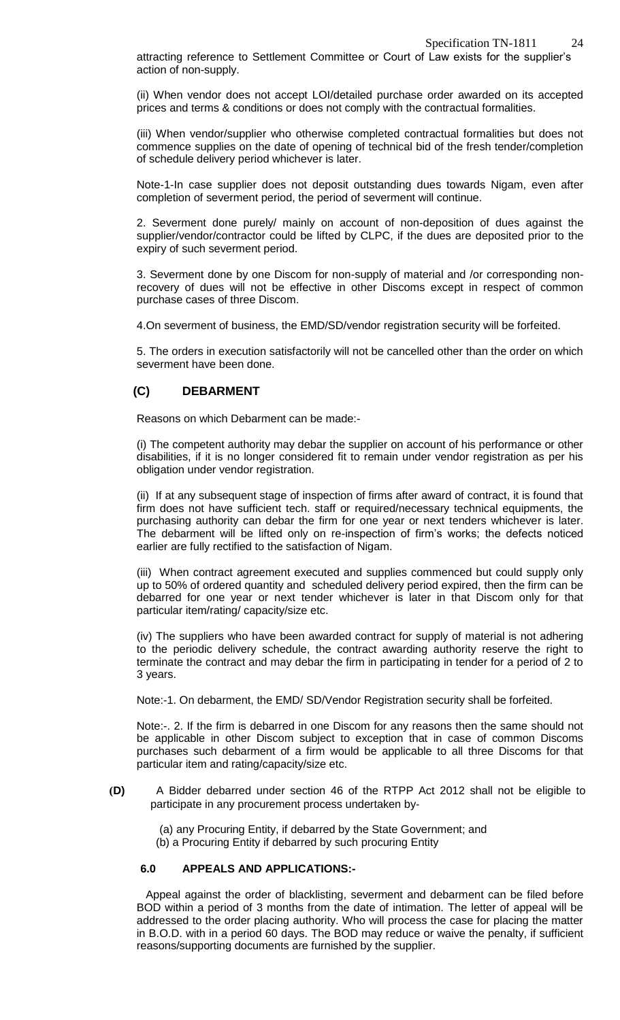attracting reference to Settlement Committee or Court of Law exists for the supplier's action of non-supply.

(ii) When vendor does not accept LOI/detailed purchase order awarded on its accepted prices and terms & conditions or does not comply with the contractual formalities.

(iii) When vendor/supplier who otherwise completed contractual formalities but does not commence supplies on the date of opening of technical bid of the fresh tender/completion of schedule delivery period whichever is later.

Note-1-In case supplier does not deposit outstanding dues towards Nigam, even after completion of severment period, the period of severment will continue.

2. Severment done purely/ mainly on account of non-deposition of dues against the supplier/vendor/contractor could be lifted by CLPC, if the dues are deposited prior to the expiry of such severment period.

3. Severment done by one Discom for non-supply of material and /or corresponding nonrecovery of dues will not be effective in other Discoms except in respect of common purchase cases of three Discom.

4.On severment of business, the EMD/SD/vendor registration security will be forfeited.

5. The orders in execution satisfactorily will not be cancelled other than the order on which severment have been done.

## **(C) DEBARMENT**

Reasons on which Debarment can be made:-

(i) The competent authority may debar the supplier on account of his performance or other disabilities, if it is no longer considered fit to remain under vendor registration as per his obligation under vendor registration.

(ii) If at any subsequent stage of inspection of firms after award of contract, it is found that firm does not have sufficient tech. staff or required/necessary technical equipments, the purchasing authority can debar the firm for one year or next tenders whichever is later. The debarment will be lifted only on re-inspection of firm's works; the defects noticed earlier are fully rectified to the satisfaction of Nigam.

(iii) When contract agreement executed and supplies commenced but could supply only up to 50% of ordered quantity and scheduled delivery period expired, then the firm can be debarred for one year or next tender whichever is later in that Discom only for that particular item/rating/ capacity/size etc.

(iv) The suppliers who have been awarded contract for supply of material is not adhering to the periodic delivery schedule, the contract awarding authority reserve the right to terminate the contract and may debar the firm in participating in tender for a period of 2 to 3 years.

Note:-1. On debarment, the EMD/ SD/Vendor Registration security shall be forfeited.

Note:-. 2. If the firm is debarred in one Discom for any reasons then the same should not be applicable in other Discom subject to exception that in case of common Discoms purchases such debarment of a firm would be applicable to all three Discoms for that particular item and rating/capacity/size etc.

**(D)** A Bidder debarred under section 46 of the RTPP Act 2012 shall not be eligible to participate in any procurement process undertaken by‐

 (a) any Procuring Entity, if debarred by the State Government; and (b) a Procuring Entity if debarred by such procuring Entity

## **6.0 APPEALS AND APPLICATIONS:-**

Appeal against the order of blacklisting, severment and debarment can be filed before BOD within a period of 3 months from the date of intimation. The letter of appeal will be addressed to the order placing authority. Who will process the case for placing the matter in B.O.D. with in a period 60 days. The BOD may reduce or waive the penalty, if sufficient reasons/supporting documents are furnished by the supplier.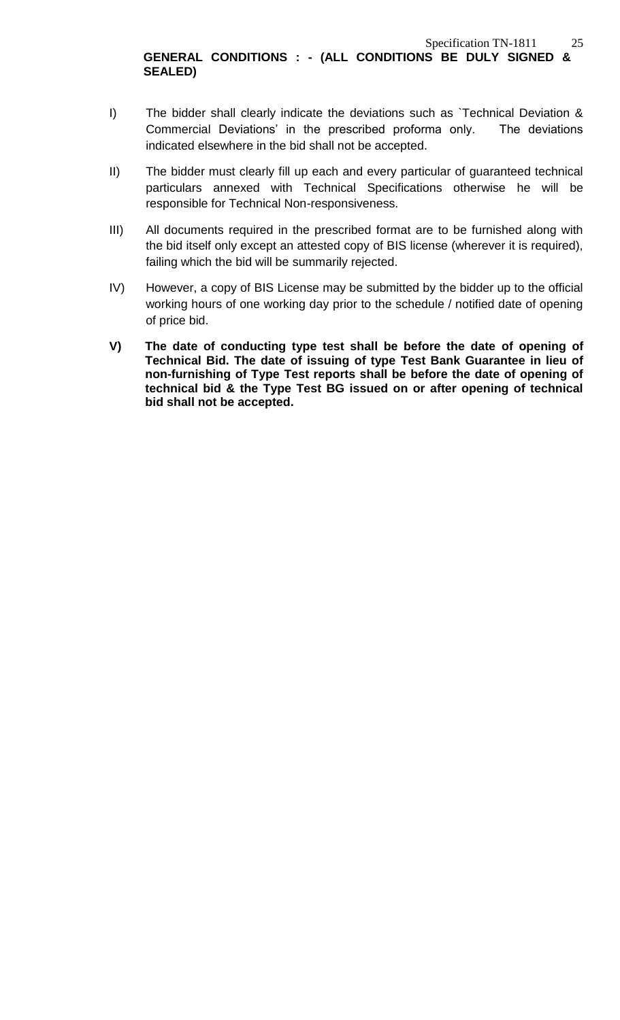I) The bidder shall clearly indicate the deviations such as `Technical Deviation & Commercial Deviations' in the prescribed proforma only. The deviations indicated elsewhere in the bid shall not be accepted.

**SEALED)**

- II) The bidder must clearly fill up each and every particular of guaranteed technical particulars annexed with Technical Specifications otherwise he will be responsible for Technical Non-responsiveness.
- III) All documents required in the prescribed format are to be furnished along with the bid itself only except an attested copy of BIS license (wherever it is required), failing which the bid will be summarily rejected.
- IV) However, a copy of BIS License may be submitted by the bidder up to the official working hours of one working day prior to the schedule / notified date of opening of price bid.
- **V) The date of conducting type test shall be before the date of opening of Technical Bid. The date of issuing of type Test Bank Guarantee in lieu of non-furnishing of Type Test reports shall be before the date of opening of technical bid & the Type Test BG issued on or after opening of technical bid shall not be accepted.**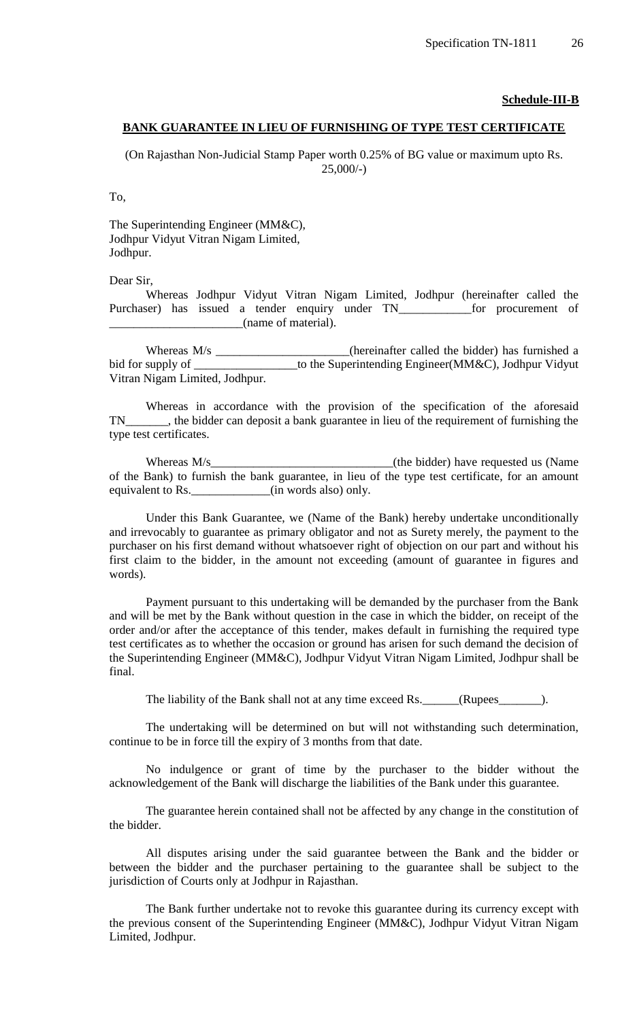#### **Schedule-III-B**

#### **BANK GUARANTEE IN LIEU OF FURNISHING OF TYPE TEST CERTIFICATE**

(On Rajasthan Non-Judicial Stamp Paper worth 0.25% of BG value or maximum upto Rs. 25,000/-)

To,

The Superintending Engineer (MM&C), Jodhpur Vidyut Vitran Nigam Limited, Jodhpur.

Dear Sir,

Whereas Jodhpur Vidyut Vitran Nigam Limited, Jodhpur (hereinafter called the Purchaser) has issued a tender enquiry under TN\_\_\_\_\_\_\_\_\_\_\_\_ for procurement of \_\_\_\_\_\_\_\_\_\_\_\_\_\_\_\_\_\_\_\_\_\_(name of material).

Whereas M/s \_\_\_\_\_\_\_\_\_\_\_\_\_\_\_\_\_\_(hereinafter called the bidder) has furnished a bid for supply of \_\_\_\_\_\_\_\_\_\_\_\_\_\_\_\_\_\_\_\_to the Superintending Engineer(MM&C), Jodhpur Vidyut Vitran Nigam Limited, Jodhpur.

Whereas in accordance with the provision of the specification of the aforesaid TN\_\_\_\_\_\_\_, the bidder can deposit a bank guarantee in lieu of the requirement of furnishing the type test certificates.

Whereas M/s and the Midder) have requested us (Name of the Bank) to furnish the bank guarantee, in lieu of the type test certificate, for an amount equivalent to Rs. \_\_\_\_\_\_\_\_\_\_\_(in words also) only.

Under this Bank Guarantee, we (Name of the Bank) hereby undertake unconditionally and irrevocably to guarantee as primary obligator and not as Surety merely, the payment to the purchaser on his first demand without whatsoever right of objection on our part and without his first claim to the bidder, in the amount not exceeding (amount of guarantee in figures and words).

Payment pursuant to this undertaking will be demanded by the purchaser from the Bank and will be met by the Bank without question in the case in which the bidder, on receipt of the order and/or after the acceptance of this tender, makes default in furnishing the required type test certificates as to whether the occasion or ground has arisen for such demand the decision of the Superintending Engineer (MM&C), Jodhpur Vidyut Vitran Nigam Limited, Jodhpur shall be final.

The liability of the Bank shall not at any time exceed Rs. \_\_\_\_\_\_(Rupees\_\_\_\_\_\_\_).

The undertaking will be determined on but will not withstanding such determination, continue to be in force till the expiry of 3 months from that date.

No indulgence or grant of time by the purchaser to the bidder without the acknowledgement of the Bank will discharge the liabilities of the Bank under this guarantee.

The guarantee herein contained shall not be affected by any change in the constitution of the bidder.

All disputes arising under the said guarantee between the Bank and the bidder or between the bidder and the purchaser pertaining to the guarantee shall be subject to the jurisdiction of Courts only at Jodhpur in Rajasthan.

The Bank further undertake not to revoke this guarantee during its currency except with the previous consent of the Superintending Engineer (MM&C), Jodhpur Vidyut Vitran Nigam Limited, Jodhpur.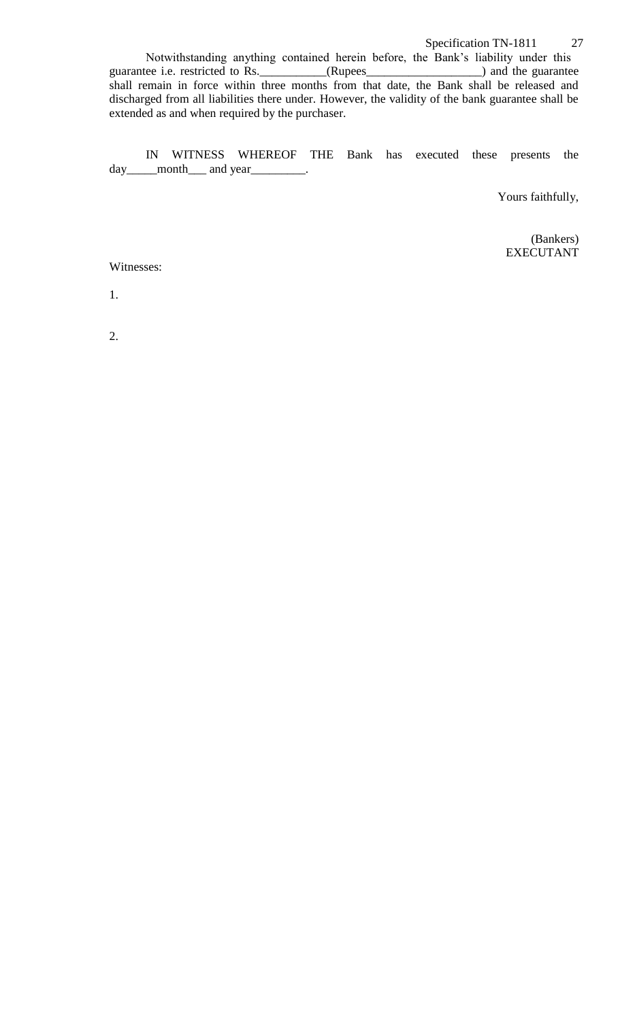Notwithstanding anything contained herein before, the Bank's liability under this guarantee i.e. restricted to Rs. (Rupees ) and the guarantee guarantee i.e. restricted to Rs. \_\_\_\_\_\_\_\_\_\_\_(Rupees\_\_\_\_\_\_\_\_\_\_\_\_\_\_\_\_\_\_\_\_) and the guarantee shall remain in force within three months from that date, the Bank shall be released and discharged from all liabilities there under. However, the validity of the bank guarantee shall be extended as and when required by the purchaser.

IN WITNESS WHEREOF THE Bank has executed these presents the day\_\_\_\_\_month\_\_\_ and year\_\_\_\_\_\_\_\_.

Yours faithfully,

(Bankers) EXECUTANT

Witnesses:

1.

2.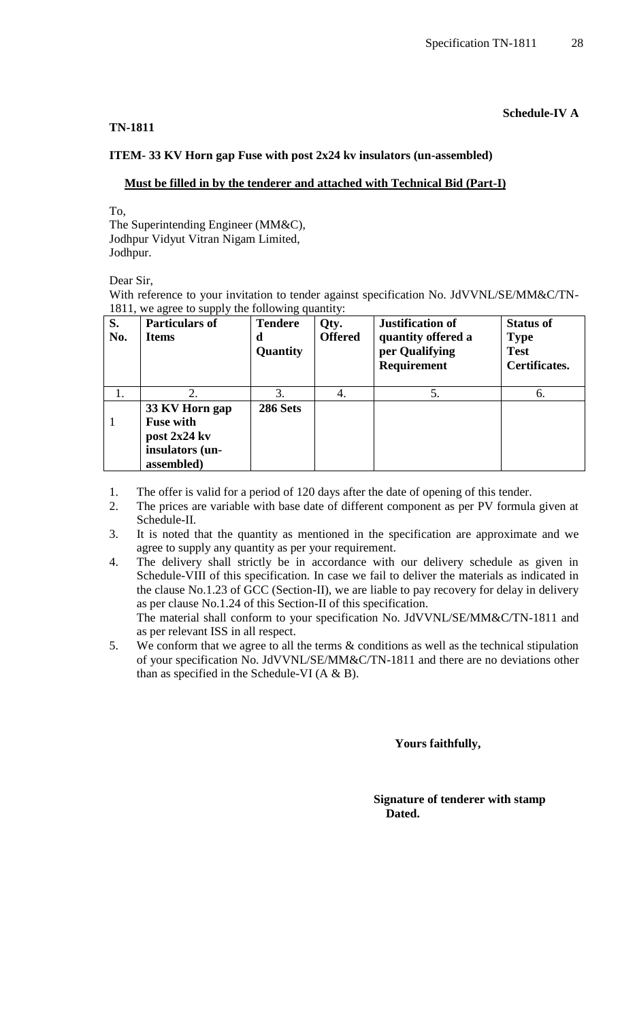#### **TN-1811**

## **Schedule-IV A**

#### **ITEM- 33 KV Horn gap Fuse with post 2x24 kv insulators (un-assembled)**

#### **Must be filled in by the tenderer and attached with Technical Bid (Part-I)**

To,

The Superintending Engineer (MM&C), Jodhpur Vidyut Vitran Nigam Limited, Jodhpur.

Dear Sir,

With reference to your invitation to tender against specification No. JdVVNL/SE/MM&C/TN-1811, we agree to supply the following quantity:

| S.<br>No. | <b>Particulars of</b><br>Items                                                      | <b>Tendere</b><br>d<br>Quantity | Qty.<br><b>Offered</b> | <b>Justification of</b><br>quantity offered a<br>per Qualifying<br>Requirement | <b>Status of</b><br><b>Type</b><br><b>Test</b><br>Certificates. |
|-----------|-------------------------------------------------------------------------------------|---------------------------------|------------------------|--------------------------------------------------------------------------------|-----------------------------------------------------------------|
|           | 2.                                                                                  | 3.                              | 4.                     | 5.                                                                             | 6.                                                              |
|           | 33 KV Horn gap<br><b>Fuse with</b><br>post 2x24 kv<br>insulators (un-<br>assembled) | <b>286 Sets</b>                 |                        |                                                                                |                                                                 |

- 1. The offer is valid for a period of 120 days after the date of opening of this tender.
- 2. The prices are variable with base date of different component as per PV formula given at Schedule-II.
- 3. It is noted that the quantity as mentioned in the specification are approximate and we agree to supply any quantity as per your requirement.
- 4. The delivery shall strictly be in accordance with our delivery schedule as given in Schedule-VIII of this specification. In case we fail to deliver the materials as indicated in the clause No.1.23 of GCC (Section-II), we are liable to pay recovery for delay in delivery as per clause No.1.24 of this Section-II of this specification. The material shall conform to your specification No. JdVVNL/SE/MM&C/TN-1811 and as per relevant ISS in all respect.
- 5. We conform that we agree to all the terms & conditions as well as the technical stipulation of your specification No. JdVVNL/SE/MM&C/TN-1811 and there are no deviations other than as specified in the Schedule-VI  $(A \& B)$ .

 **Yours faithfully,** 

 **Signature of tenderer with stamp Dated.**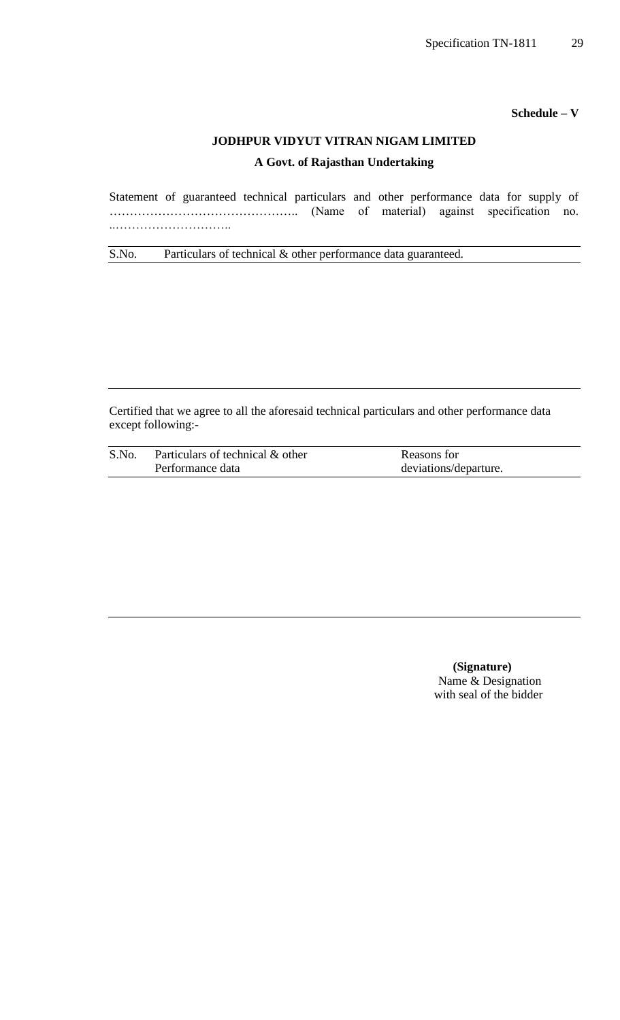**Schedule – V**

# **JODHPUR VIDYUT VITRAN NIGAM LIMITED**

## **A Govt. of Rajasthan Undertaking**

Statement of guaranteed technical particulars and other performance data for supply of ……………………………………….. (Name of material) against specification no. ..………………………..

S.No. Particulars of technical & other performance data guaranteed.

Certified that we agree to all the aforesaid technical particulars and other performance data except following:-

| S.No. | Particulars of technical & other | Reasons for           |
|-------|----------------------------------|-----------------------|
|       | Performance data                 | deviations/departure. |

 **(Signature)** Name & Designation with seal of the bidder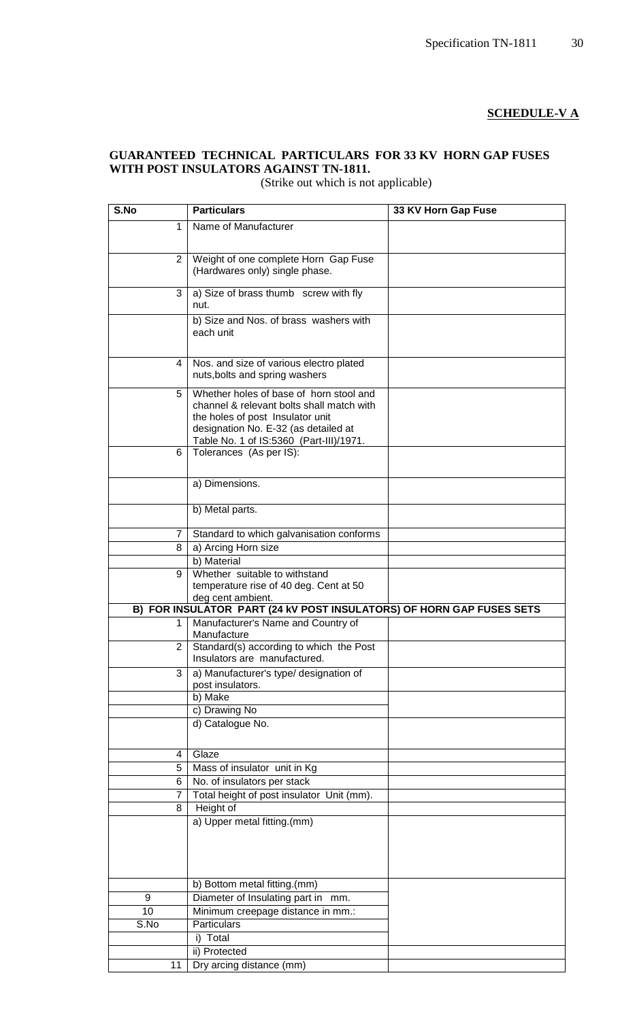## **SCHEDULE-V A**

## **GUARANTEED TECHNICAL PARTICULARS FOR 33 KV HORN GAP FUSES WITH POST INSULATORS AGAINST TN-1811.**

(Strike out which is not applicable)

| S.No           | <b>Particulars</b>                                                       | 33 KV Horn Gap Fuse |
|----------------|--------------------------------------------------------------------------|---------------------|
| 1              | Name of Manufacturer                                                     |                     |
|                |                                                                          |                     |
| $\overline{2}$ | Weight of one complete Horn Gap Fuse                                     |                     |
|                | (Hardwares only) single phase.                                           |                     |
|                |                                                                          |                     |
| 3              | a) Size of brass thumb screw with fly                                    |                     |
|                | nut.                                                                     |                     |
|                | b) Size and Nos. of brass washers with                                   |                     |
|                | each unit                                                                |                     |
|                |                                                                          |                     |
| 4              | Nos. and size of various electro plated                                  |                     |
|                | nuts, bolts and spring washers                                           |                     |
| 5              | Whether holes of base of horn stool and                                  |                     |
|                | channel & relevant bolts shall match with                                |                     |
|                | the holes of post Insulator unit                                         |                     |
|                | designation No. E-32 (as detailed at                                     |                     |
|                | Table No. 1 of IS:5360 (Part-III)/1971.                                  |                     |
| 6              | Tolerances (As per IS):                                                  |                     |
|                |                                                                          |                     |
|                | a) Dimensions.                                                           |                     |
|                |                                                                          |                     |
|                | b) Metal parts.                                                          |                     |
|                |                                                                          |                     |
| 7              | Standard to which galvanisation conforms                                 |                     |
| 8              | a) Arcing Horn size                                                      |                     |
|                | b) Material                                                              |                     |
| 9              | Whether suitable to withstand                                            |                     |
|                | temperature rise of 40 deg. Cent at 50<br>deg cent ambient.              |                     |
|                | B) FOR INSULATOR PART (24 kV POST INSULATORS) OF HORN GAP FUSES SETS     |                     |
|                | Manufacturer's Name and Country of                                       |                     |
|                | Manufacture                                                              |                     |
| 2              | Standard(s) according to which the Post                                  |                     |
|                | Insulators are manufactured.                                             |                     |
| 3              | a) Manufacturer's type/ designation of                                   |                     |
|                | post insulators.<br>b) Make                                              |                     |
|                | c) Drawing No                                                            |                     |
|                | d) Catalogue No.                                                         |                     |
|                |                                                                          |                     |
|                |                                                                          |                     |
| 4              | Glaze                                                                    |                     |
| 5              | Mass of insulator unit in Kg                                             |                     |
| 6              | No. of insulators per stack<br>Total height of post insulator Unit (mm). |                     |
| 7<br>8         | Height of                                                                |                     |
|                | a) Upper metal fitting.(mm)                                              |                     |
|                |                                                                          |                     |
|                |                                                                          |                     |
|                |                                                                          |                     |
|                |                                                                          |                     |
|                | b) Bottom metal fitting.(mm)                                             |                     |
| 9              | Diameter of Insulating part in mm.                                       |                     |
| 10             | Minimum creepage distance in mm.:                                        |                     |
| S.No           | Particulars                                                              |                     |
|                | i) Total                                                                 |                     |
|                | ii) Protected                                                            |                     |
| 11             | Dry arcing distance (mm)                                                 |                     |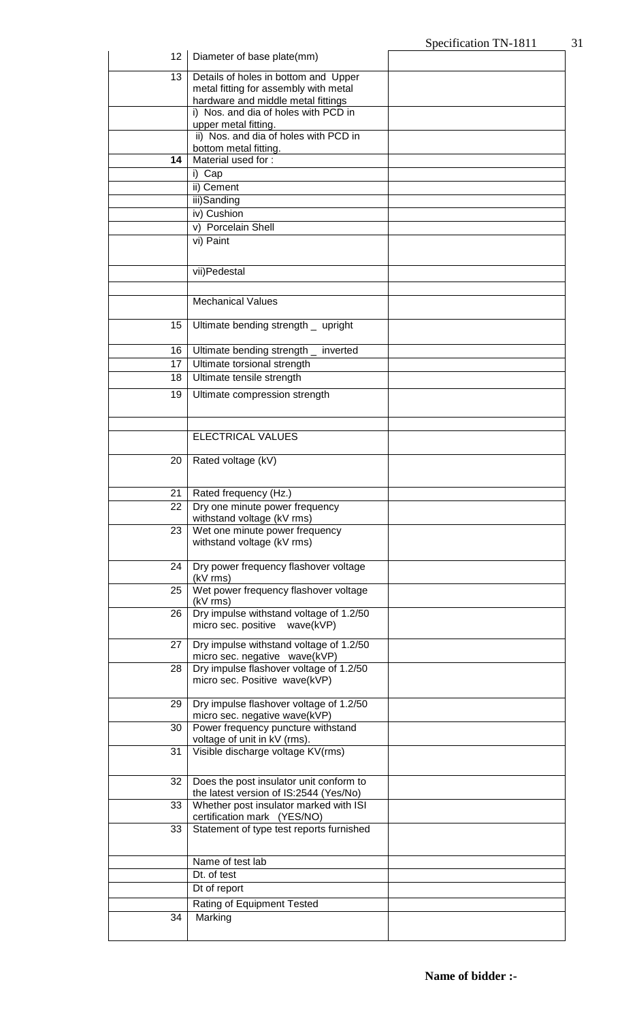|          |                                                                          | ppulluation 111-1011 |
|----------|--------------------------------------------------------------------------|----------------------|
| 12       | Diameter of base plate(mm)                                               |                      |
| 13       | Details of holes in bottom and Upper                                     |                      |
|          | metal fitting for assembly with metal                                    |                      |
|          | hardware and middle metal fittings                                       |                      |
|          | i) Nos. and dia of holes with PCD in<br>upper metal fitting.             |                      |
|          | ii) Nos. and dia of holes with PCD in                                    |                      |
|          | bottom metal fitting.                                                    |                      |
| 14       | Material used for:                                                       |                      |
|          | i) Cap                                                                   |                      |
|          | ii) Cement                                                               |                      |
|          | iii)Sanding<br>iv) Cushion                                               |                      |
|          | v) Porcelain Shell                                                       |                      |
|          | vi) Paint                                                                |                      |
|          |                                                                          |                      |
|          | vii)Pedestal                                                             |                      |
|          |                                                                          |                      |
|          | <b>Mechanical Values</b>                                                 |                      |
|          |                                                                          |                      |
| 15       | Ultimate bending strength _ upright                                      |                      |
|          |                                                                          |                      |
| 16<br>17 | Ultimate bending strength _ inverted<br>Ultimate torsional strength      |                      |
| 18       | Ultimate tensile strength                                                |                      |
| 19       | Ultimate compression strength                                            |                      |
|          |                                                                          |                      |
|          |                                                                          |                      |
|          | ELECTRICAL VALUES                                                        |                      |
|          |                                                                          |                      |
| 20       | Rated voltage (kV)                                                       |                      |
|          |                                                                          |                      |
| 21       | Rated frequency (Hz.)                                                    |                      |
| 22       | Dry one minute power frequency<br>withstand voltage (kV rms)             |                      |
| 23       | Wet one minute power frequency                                           |                      |
|          | withstand voltage (kV rms)                                               |                      |
| 24       | Dry power frequency flashover voltage                                    |                      |
|          | (kV rms)                                                                 |                      |
| 25       | Wet power frequency flashover voltage                                    |                      |
|          | (kV rms)                                                                 |                      |
| 26       | Dry impulse withstand voltage of 1.2/50<br>micro sec. positive wave(kVP) |                      |
|          |                                                                          |                      |
| 27       | Dry impulse withstand voltage of 1.2/50<br>micro sec. negative wave(kVP) |                      |
| 28       | Dry impulse flashover voltage of 1.2/50                                  |                      |
|          | micro sec. Positive wave(kVP)                                            |                      |
| 29       | Dry impulse flashover voltage of 1.2/50                                  |                      |
|          | micro sec. negative wave(kVP)                                            |                      |
| 30       | Power frequency puncture withstand                                       |                      |
| 31       | voltage of unit in kV (rms).<br>Visible discharge voltage KV(rms)        |                      |
|          |                                                                          |                      |
| 32       | Does the post insulator unit conform to                                  |                      |
|          | the latest version of IS:2544 (Yes/No)                                   |                      |
| 33       | Whether post insulator marked with ISI                                   |                      |
| 33       | certification mark (YES/NO)<br>Statement of type test reports furnished  |                      |
|          |                                                                          |                      |
|          |                                                                          |                      |
|          | Name of test lab<br>Dt. of test                                          |                      |
|          | Dt of report                                                             |                      |
|          | Rating of Equipment Tested                                               |                      |
| 34       | Marking                                                                  |                      |
|          |                                                                          |                      |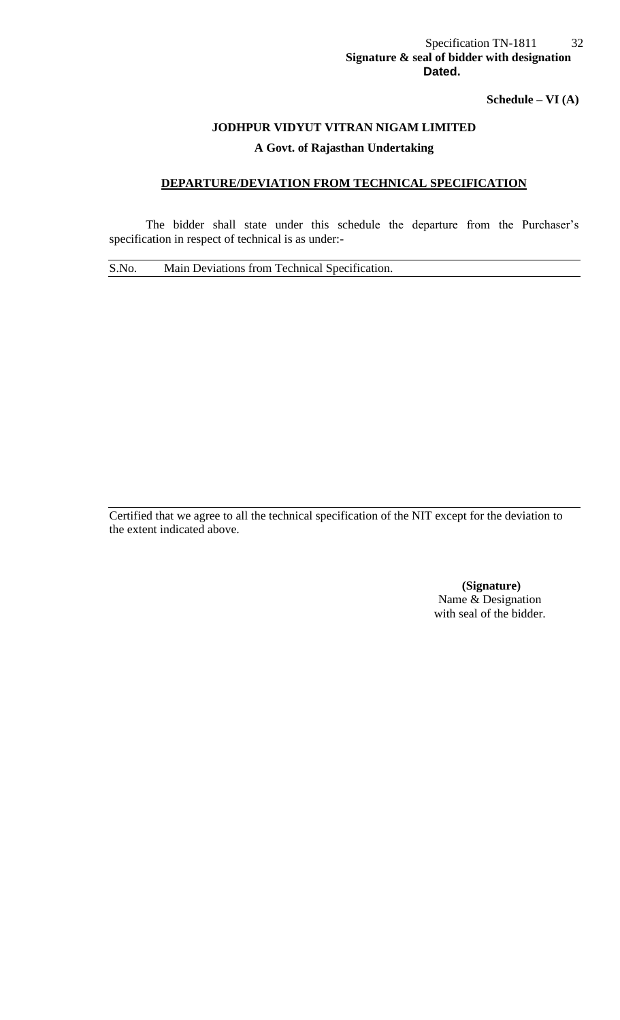## Specification TN-1811 32 **Signature & seal of bidder with designation** *Dated.* **Dated.**

**Schedule – VI (A)**

## **JODHPUR VIDYUT VITRAN NIGAM LIMITED**

## **A Govt. of Rajasthan Undertaking**

## **DEPARTURE/DEVIATION FROM TECHNICAL SPECIFICATION**

The bidder shall state under this schedule the departure from the Purchaser's specification in respect of technical is as under:-

S.No. Main Deviations from Technical Specification.

Certified that we agree to all the technical specification of the NIT except for the deviation to the extent indicated above.

> **(Signature)** Name & Designation with seal of the bidder.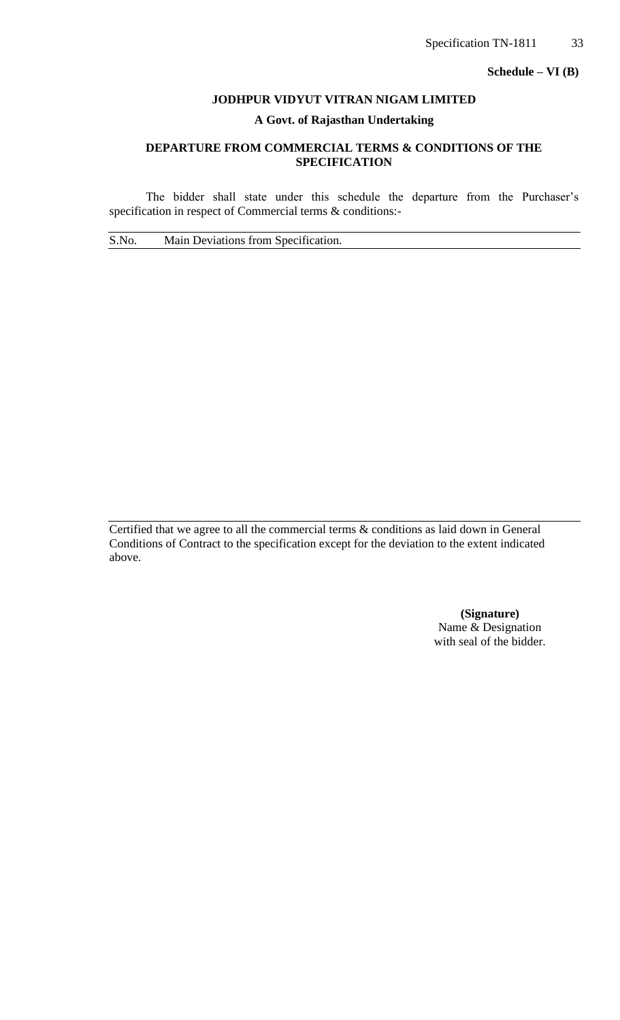**Schedule – VI (B)**

#### **JODHPUR VIDYUT VITRAN NIGAM LIMITED**

## **A Govt. of Rajasthan Undertaking**

## **DEPARTURE FROM COMMERCIAL TERMS & CONDITIONS OF THE SPECIFICATION**

The bidder shall state under this schedule the departure from the Purchaser's specification in respect of Commercial terms & conditions:-

S.No. Main Deviations from Specification.

Certified that we agree to all the commercial terms & conditions as laid down in General Conditions of Contract to the specification except for the deviation to the extent indicated above.

> **(Signature)** Name & Designation with seal of the bidder.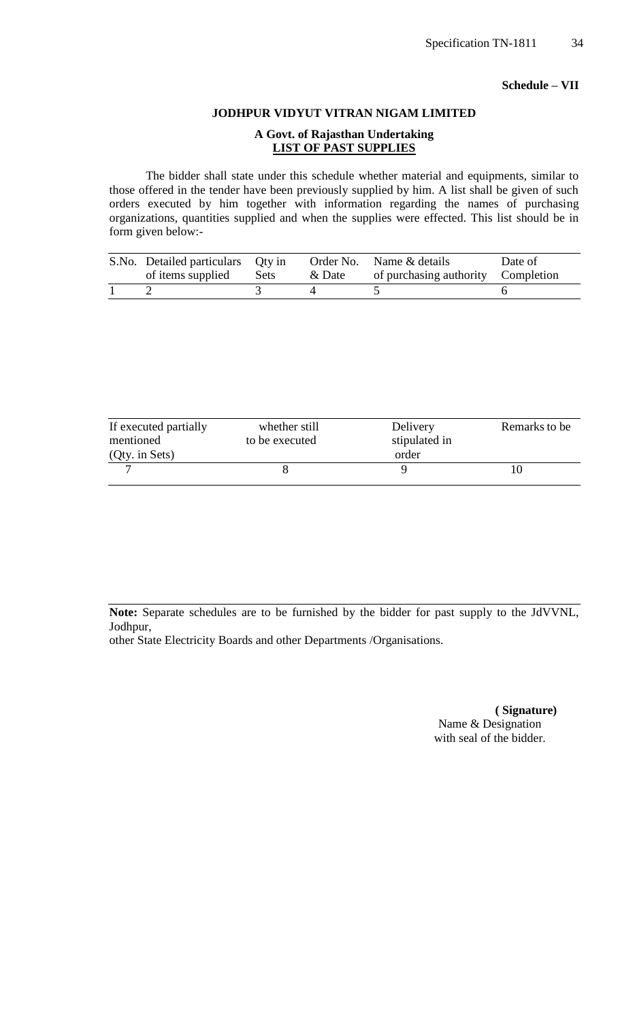#### **Schedule – VII**

## **JODHPUR VIDYUT VITRAN NIGAM LIMITED**

## **A Govt. of Rajasthan Undertaking LIST OF PAST SUPPLIES**

The bidder shall state under this schedule whether material and equipments, similar to those offered in the tender have been previously supplied by him. A list shall be given of such orders executed by him together with information regarding the names of purchasing organizations, quantities supplied and when the supplies were effected. This list should be in form given below:-

| S.No. Detailed particulars Qty in |      |        | Order No. Name & details           | Date of |
|-----------------------------------|------|--------|------------------------------------|---------|
| of items supplied                 | Sets | & Date | of purchasing authority Completion |         |
|                                   |      |        |                                    |         |

| If executed partially<br>mentioned | whether still<br>to be executed | Delivery<br>stipulated in | Remarks to be |
|------------------------------------|---------------------------------|---------------------------|---------------|
| (Qty. in Sets)                     |                                 | order                     |               |
|                                    |                                 |                           |               |

**Note:** Separate schedules are to be furnished by the bidder for past supply to the JdVVNL, Jodhpur,

other State Electricity Boards and other Departments /Organisations.

 **( Signature)** Name & Designation with seal of the bidder.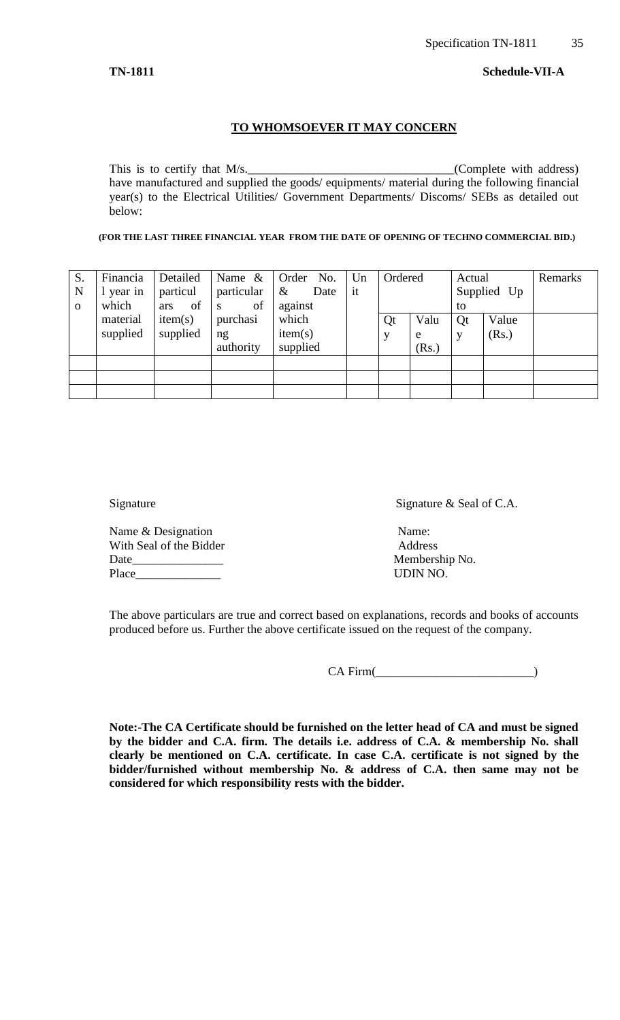#### **TO WHOMSOEVER IT MAY CONCERN**

This is to certify that M/s. (Complete with address) have manufactured and supplied the goods/ equipments/ material during the following financial year(s) to the Electrical Utilities/ Government Departments/ Discoms/ SEBs as detailed out below:

**(FOR THE LAST THREE FINANCIAL YEAR FROM THE DATE OF OPENING OF TECHNO COMMERCIAL BID.)**

| S.<br>N<br>$\mathbf{O}$ | Financia<br>1 year in<br>which | Detailed<br>particul<br>of<br>ars | Name $\&$<br>particular<br>of<br>S | No.<br>Order<br>$\&$<br>Date<br>against | Un<br>it | Ordered |                    | Actual<br>to | Supplied Up    | Remarks |
|-------------------------|--------------------------------|-----------------------------------|------------------------------------|-----------------------------------------|----------|---------|--------------------|--------------|----------------|---------|
|                         | material<br>supplied           | item(s)<br>supplied               | purchasi<br>ng<br>authority        | which<br>item(s)<br>supplied            |          | Qt      | Valu<br>e<br>(Rs.) | Qt           | Value<br>(Rs.) |         |
|                         |                                |                                   |                                    |                                         |          |         |                    |              |                |         |
|                         |                                |                                   |                                    |                                         |          |         |                    |              |                |         |
|                         |                                |                                   |                                    |                                         |          |         |                    |              |                |         |

Name & Designation Name: With Seal of the Bidder Address Date\_\_\_\_\_\_\_\_\_\_\_\_\_\_\_ Membership No. Place\_\_\_\_\_\_\_\_\_\_\_\_\_\_ UDIN NO.

Signature Signature  $\alpha$  Seal of C.A.

The above particulars are true and correct based on explanations, records and books of accounts produced before us. Further the above certificate issued on the request of the company.

CA Firm(

**Note:-The CA Certificate should be furnished on the letter head of CA and must be signed by the bidder and C.A. firm. The details i.e. address of C.A. & membership No. shall clearly be mentioned on C.A. certificate. In case C.A. certificate is not signed by the bidder/furnished without membership No. & address of C.A. then same may not be considered for which responsibility rests with the bidder.**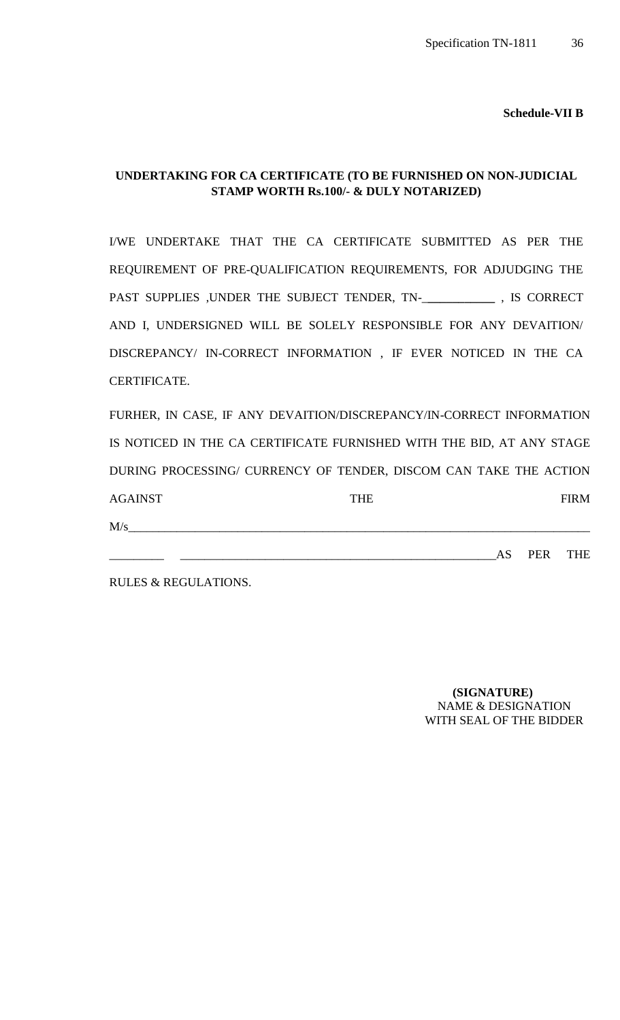**Schedule-VII B**

## **UNDERTAKING FOR CA CERTIFICATE (TO BE FURNISHED ON NON-JUDICIAL STAMP WORTH Rs.100/- & DULY NOTARIZED)**

I/WE UNDERTAKE THAT THE CA CERTIFICATE SUBMITTED AS PER THE REQUIREMENT OF PRE-QUALIFICATION REQUIREMENTS, FOR ADJUDGING THE PAST SUPPLIES ,UNDER THE SUBJECT TENDER, TN-\_**\_\_\_\_\_\_\_\_\_\_\_** , IS CORRECT AND I, UNDERSIGNED WILL BE SOLELY RESPONSIBLE FOR ANY DEVAITION/ DISCREPANCY/ IN-CORRECT INFORMATION , IF EVER NOTICED IN THE CA CERTIFICATE.

FURHER, IN CASE, IF ANY DEVAITION/DISCREPANCY/IN-CORRECT INFORMATION IS NOTICED IN THE CA CERTIFICATE FURNISHED WITH THE BID, AT ANY STAGE DURING PROCESSING/ CURRENCY OF TENDER, DISCOM CAN TAKE THE ACTION AGAINST FIRM  $M/s$   $\overline{\phantom{a}}$ 

\_\_\_\_\_\_\_\_\_ \_\_\_\_\_\_\_\_\_\_\_\_\_\_\_\_\_\_\_\_\_\_\_\_\_\_\_\_\_\_\_\_\_\_\_\_\_\_\_\_\_\_\_\_\_\_\_\_\_\_\_\_AS PER THE

RULES & REGULATIONS.

 **(SIGNATURE)** NAME & DESIGNATION WITH SEAL OF THE BIDDER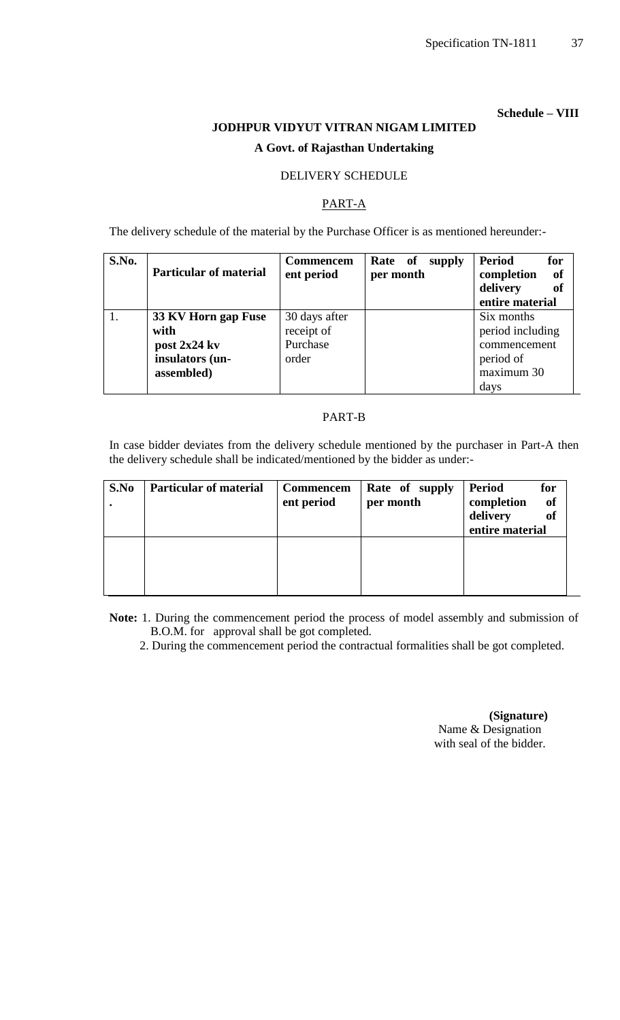## **Schedule – VIII**

# **JODHPUR VIDYUT VITRAN NIGAM LIMITED A Govt. of Rajasthan Undertaking**

## DELIVERY SCHEDULE

## PART-A

The delivery schedule of the material by the Purchase Officer is as mentioned hereunder:-

| S.No. | <b>Particular of material</b>                                                | <b>Commencem</b><br>ent period                   | Rate of<br>supply<br>per month | <b>Period</b><br>for<br>- of<br>completion<br>delivery<br>of<br>entire material   |
|-------|------------------------------------------------------------------------------|--------------------------------------------------|--------------------------------|-----------------------------------------------------------------------------------|
|       | 33 KV Horn gap Fuse<br>with<br>post 2x24 kv<br>insulators (un-<br>assembled) | 30 days after<br>receipt of<br>Purchase<br>order |                                | Six months<br>period including<br>commencement<br>period of<br>maximum 30<br>days |

## PART-B

In case bidder deviates from the delivery schedule mentioned by the purchaser in Part-A then the delivery schedule shall be indicated/mentioned by the bidder as under:-

| S.No | <b>Particular of material</b> | <b>Commencem</b><br>ent period | Rate of supply<br>per month | <b>Period</b><br>for<br>completion<br><sub>of</sub><br>delivery<br><b>of</b><br>entire material |
|------|-------------------------------|--------------------------------|-----------------------------|-------------------------------------------------------------------------------------------------|
|      |                               |                                |                             |                                                                                                 |

**Note:** 1. During the commencement period the process of model assembly and submission of B.O.M. for approval shall be got completed.

2. During the commencement period the contractual formalities shall be got completed.

 **(Signature)** Name & Designation with seal of the bidder.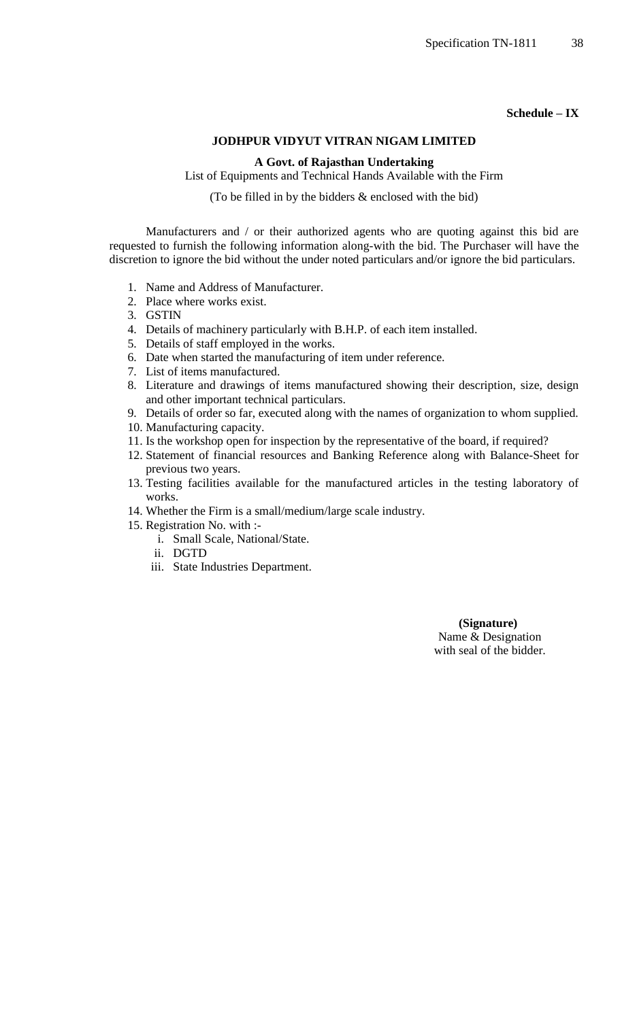## **Schedule – IX**

## **JODHPUR VIDYUT VITRAN NIGAM LIMITED**

#### **A Govt. of Rajasthan Undertaking**

List of Equipments and Technical Hands Available with the Firm

(To be filled in by the bidders & enclosed with the bid)

Manufacturers and / or their authorized agents who are quoting against this bid are requested to furnish the following information along-with the bid. The Purchaser will have the discretion to ignore the bid without the under noted particulars and/or ignore the bid particulars.

- 1. Name and Address of Manufacturer.
- 2. Place where works exist.
- 3. GSTIN
- 4. Details of machinery particularly with B.H.P. of each item installed.
- 5. Details of staff employed in the works.
- 6. Date when started the manufacturing of item under reference.
- 7. List of items manufactured.
- 8. Literature and drawings of items manufactured showing their description, size, design and other important technical particulars.
- 9. Details of order so far, executed along with the names of organization to whom supplied.
- 10. Manufacturing capacity.
- 11. Is the workshop open for inspection by the representative of the board, if required?
- 12. Statement of financial resources and Banking Reference along with Balance-Sheet for previous two years.
- 13. Testing facilities available for the manufactured articles in the testing laboratory of works.
- 14. Whether the Firm is a small/medium/large scale industry.
- 15. Registration No. with :
	- i. Small Scale, National/State.
	- ii. DGTD
	- iii. State Industries Department.

 **(Signature)** Name & Designation with seal of the bidder.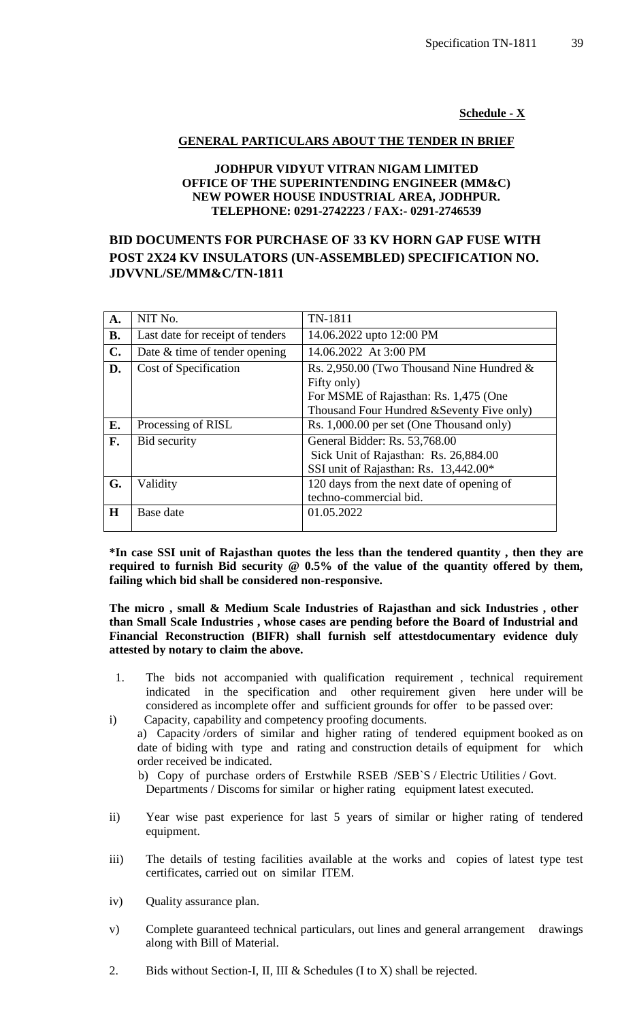**Schedule - X**

## **GENERAL PARTICULARS ABOUT THE TENDER IN BRIEF**

## **JODHPUR VIDYUT VITRAN NIGAM LIMITED OFFICE OF THE SUPERINTENDING ENGINEER (MM&C) NEW POWER HOUSE INDUSTRIAL AREA, JODHPUR. TELEPHONE: 0291-2742223 / FAX:- 0291-2746539**

# **BID DOCUMENTS FOR PURCHASE OF 33 KV HORN GAP FUSE WITH POST 2X24 KV INSULATORS (UN-ASSEMBLED) SPECIFICATION NO. JDVVNL/SE/MM&C/TN-1811**

| A.             | NIT No.                          | TN-1811                                                                                                         |
|----------------|----------------------------------|-----------------------------------------------------------------------------------------------------------------|
| <b>B.</b>      | Last date for receipt of tenders | 14.06.2022 upto 12:00 PM                                                                                        |
| $\mathbf{C}$ . | Date & time of tender opening    | 14.06.2022 At 3:00 PM                                                                                           |
| D.             | Cost of Specification            | Rs. 2,950.00 (Two Thousand Nine Hundred $\&$<br>Fifty only)<br>For MSME of Rajasthan: Rs. 1,475 (One            |
|                |                                  | Thousand Four Hundred & Seventy Five only)                                                                      |
| E.             | Processing of RISL               | Rs. 1,000.00 per set (One Thousand only)                                                                        |
| F.             | Bid security                     | General Bidder: Rs. 53,768.00<br>Sick Unit of Rajasthan: Rs. 26,884.00<br>SSI unit of Rajasthan: Rs. 13,442.00* |
| G.             | Validity                         | 120 days from the next date of opening of<br>techno-commercial bid.                                             |
| H              | Base date                        | 01.05.2022                                                                                                      |

**\*In case SSI unit of Rajasthan quotes the less than the tendered quantity , then they are required to furnish Bid security @ 0.5% of the value of the quantity offered by them, failing which bid shall be considered non-responsive.**

#### **The micro , small & Medium Scale Industries of Rajasthan and sick Industries , other than Small Scale Industries , whose cases are pending before the Board of Industrial and Financial Reconstruction (BIFR) shall furnish self attestdocumentary evidence duly attested by notary to claim the above.**

- 1. The bids not accompanied with qualification requirement , technical requirement indicated in the specification and other requirement given here under will be considered as incomplete offer and sufficient grounds for offer to be passed over:
- i) Capacity, capability and competency proofing documents. a) Capacity /orders of similar and higher rating of tendered equipment booked as on date of biding with type and rating and construction details of equipment for which order received be indicated.

 b) Copy of purchase orders of Erstwhile RSEB /SEB`S / Electric Utilities / Govt. Departments / Discoms for similar or higher rating equipment latest executed.

- ii) Year wise past experience for last 5 years of similar or higher rating of tendered equipment.
- iii) The details of testing facilities available at the works and copies of latest type test certificates, carried out on similar ITEM.
- iv) Quality assurance plan.
- v) Complete guaranteed technical particulars, out lines and general arrangement drawings along with Bill of Material.
- 2. Bids without Section-I, II, III & Schedules (I to X) shall be rejected.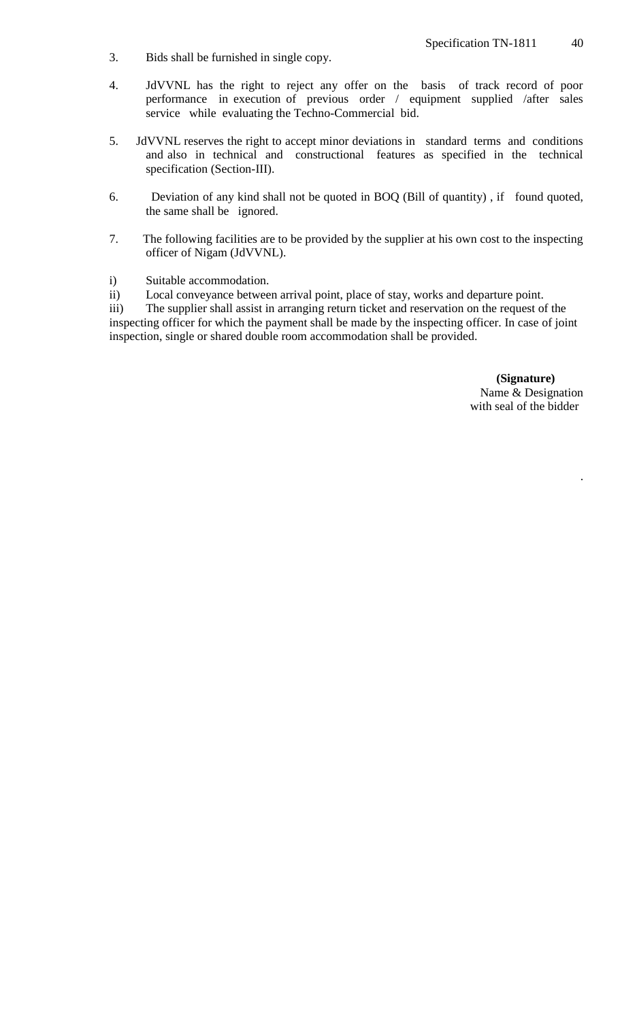- 3. Bids shall be furnished in single copy.
- 4. JdVVNL has the right to reject any offer on the basis of track record of poor performance in execution of previous order / equipment supplied /after sales service while evaluating the Techno-Commercial bid.
- 5. JdVVNL reserves the right to accept minor deviations in standard terms and conditions and also in technical and constructional features as specified in the technical specification (Section-III).
- 6. Deviation of any kind shall not be quoted in BOQ (Bill of quantity) , if found quoted, the same shall be ignored.
- 7. The following facilities are to be provided by the supplier at his own cost to the inspecting officer of Nigam (JdVVNL).
- i) Suitable accommodation.
- ii) Local conveyance between arrival point, place of stay, works and departure point.

iii) The supplier shall assist in arranging return ticket and reservation on the request of the inspecting officer for which the payment shall be made by the inspecting officer. In case of joint inspection, single or shared double room accommodation shall be provided.

> **(Signature)** Name & Designation with seal of the bidder

> > .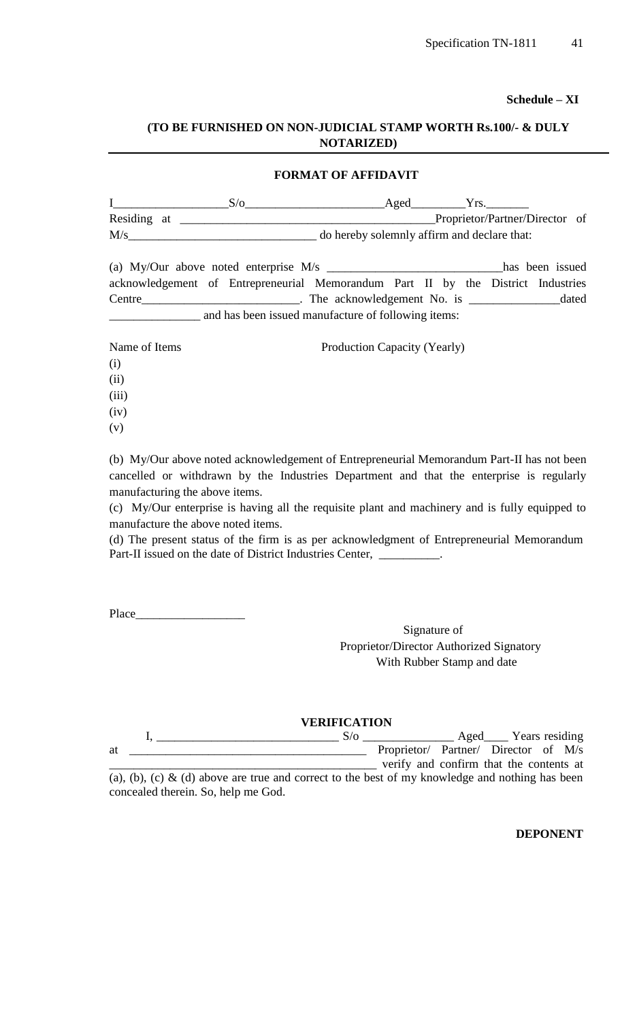**Schedule – XI**

## **(TO BE FURNISHED ON NON-JUDICIAL STAMP WORTH Rs.100/- & DULY NOTARIZED)**

#### **FORMAT OF AFFIDAVIT**

|             |  | Aged |                                             |  |
|-------------|--|------|---------------------------------------------|--|
| Residing at |  |      | Proprietor/Partner/Director of              |  |
| M/s         |  |      | do hereby solemnly affirm and declare that: |  |

| (a) My/Our above noted enterprise $M/s$                                          |  |  |                            |  |  |  | has been issued |
|----------------------------------------------------------------------------------|--|--|----------------------------|--|--|--|-----------------|
| acknowledgement of Entrepreneurial Memorandum Part II by the District Industries |  |  |                            |  |  |  |                 |
| Centre                                                                           |  |  | The acknowledgement No. is |  |  |  | dated           |
| and has been issued manufacture of following items:                              |  |  |                            |  |  |  |                 |

Name of Items Production Capacity (Yearly) (i) (ii) (iii) (iv)

(v)

(b) My/Our above noted acknowledgement of Entrepreneurial Memorandum Part-II has not been cancelled or withdrawn by the Industries Department and that the enterprise is regularly manufacturing the above items.

(c) My/Our enterprise is having all the requisite plant and machinery and is fully equipped to manufacture the above noted items.

(d) The present status of the firm is as per acknowledgment of Entrepreneurial Memorandum Part-II issued on the date of District Industries Center, \_

Place\_\_\_\_\_\_\_\_\_\_\_\_\_\_\_\_\_\_

Signature of Proprietor/Director Authorized Signatory With Rubber Stamp and date

|    | <b>VERIFICATION</b> |                                         |                     |  |
|----|---------------------|-----------------------------------------|---------------------|--|
|    | S/o                 |                                         | Aged Years residing |  |
| at |                     | Proprietor/ Partner/ Director of M/s    |                     |  |
|    |                     | verify and confirm that the contents at |                     |  |

(a), (b), (c)  $\&$  (d) above are true and correct to the best of my knowledge and nothing has been concealed therein. So, help me God.

**DEPONENT**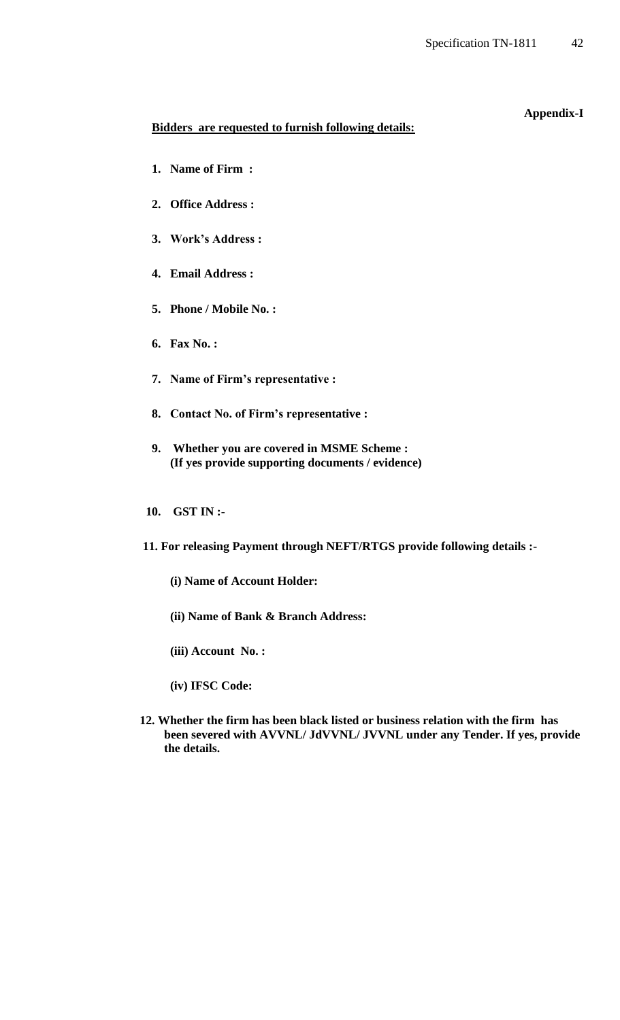**Appendix-I**

# **Bidders are requested to furnish following details:**

- **1. Name of Firm :**
- **2. Office Address :**
- **3. Work's Address :**
- **4. Email Address :**
- **5. Phone / Mobile No. :**
- **6. Fax No. :**
- **7. Name of Firm's representative :**
- **8. Contact No. of Firm's representative :**
- **9. Whether you are covered in MSME Scheme : (If yes provide supporting documents / evidence)**
- **10. GST IN :-**
- **11. For releasing Payment through NEFT/RTGS provide following details :-**
	- **(i) Name of Account Holder:**
	- **(ii) Name of Bank & Branch Address:**
	- **(iii) Account No. :**
	- **(iv) IFSC Code:**
- **12. Whether the firm has been black listed or business relation with the firm has been severed with AVVNL/ JdVVNL/ JVVNL under any Tender. If yes, provide the details.**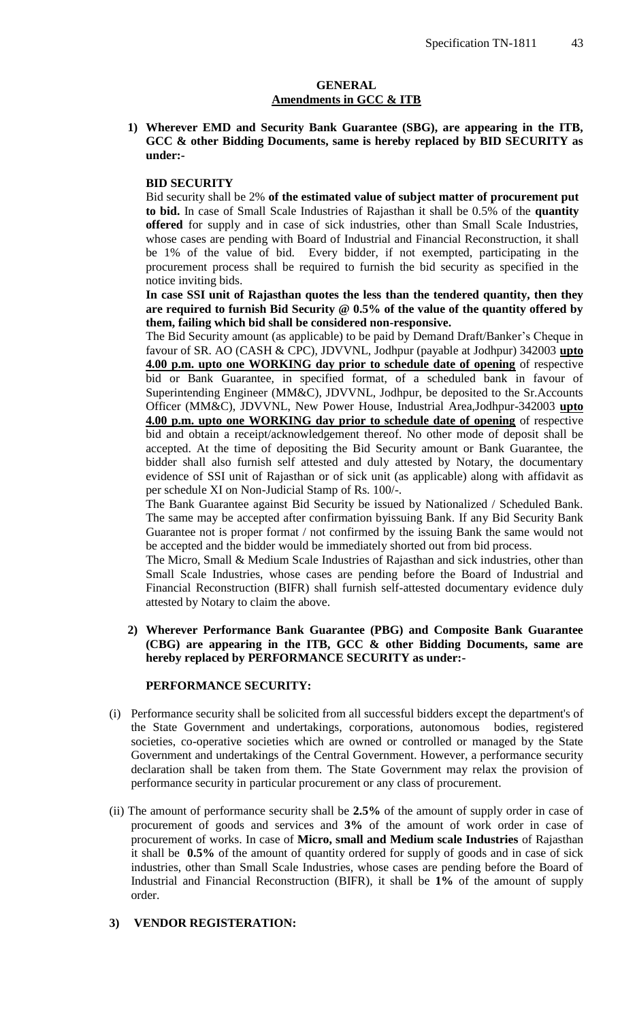#### **GENERAL Amendments in GCC & ITB**

**1) Wherever EMD and Security Bank Guarantee (SBG), are appearing in the ITB, GCC & other Bidding Documents, same is hereby replaced by BID SECURITY as under:-**

#### **BID SECURITY**

Bid security shall be 2% **of the estimated value of subject matter of procurement put to bid.** In case of Small Scale Industries of Rajasthan it shall be 0.5% of the **quantity offered** for supply and in case of sick industries, other than Small Scale Industries, whose cases are pending with Board of Industrial and Financial Reconstruction, it shall be 1% of the value of bid. Every bidder, if not exempted, participating in the procurement process shall be required to furnish the bid security as specified in the notice inviting bids.

**In case SSI unit of Rajasthan quotes the less than the tendered quantity, then they are required to furnish Bid Security @ 0.5% of the value of the quantity offered by them, failing which bid shall be considered non-responsive.** 

The Bid Security amount (as applicable) to be paid by Demand Draft/Banker"s Cheque in favour of SR. AO (CASH & CPC), JDVVNL, Jodhpur (payable at Jodhpur) 342003 **upto 4.00 p.m. upto one WORKING day prior to schedule date of opening** of respective bid or Bank Guarantee, in specified format, of a scheduled bank in favour of Superintending Engineer (MM&C), JDVVNL, Jodhpur, be deposited to the Sr.Accounts Officer (MM&C), JDVVNL, New Power House, Industrial Area,Jodhpur-342003 **upto 4.00 p.m. upto one WORKING day prior to schedule date of opening** of respective bid and obtain a receipt/acknowledgement thereof. No other mode of deposit shall be accepted. At the time of depositing the Bid Security amount or Bank Guarantee, the bidder shall also furnish self attested and duly attested by Notary, the documentary evidence of SSI unit of Rajasthan or of sick unit (as applicable) along with affidavit as per schedule XI on Non-Judicial Stamp of Rs. 100/-.

The Bank Guarantee against Bid Security be issued by Nationalized / Scheduled Bank. The same may be accepted after confirmation byissuing Bank. If any Bid Security Bank Guarantee not is proper format / not confirmed by the issuing Bank the same would not be accepted and the bidder would be immediately shorted out from bid process.

The Micro, Small & Medium Scale Industries of Rajasthan and sick industries, other than Small Scale Industries, whose cases are pending before the Board of Industrial and Financial Reconstruction (BIFR) shall furnish self-attested documentary evidence duly attested by Notary to claim the above.

## **2) Wherever Performance Bank Guarantee (PBG) and Composite Bank Guarantee (CBG) are appearing in the ITB, GCC & other Bidding Documents, same are hereby replaced by PERFORMANCE SECURITY as under:-**

#### **PERFORMANCE SECURITY:**

- (i) Performance security shall be solicited from all successful bidders except the department's of the State Government and undertakings, corporations, autonomous bodies, registered societies, co-operative societies which are owned or controlled or managed by the State Government and undertakings of the Central Government. However, a performance security declaration shall be taken from them. The State Government may relax the provision of performance security in particular procurement or any class of procurement.
- (ii) The amount of performance security shall be **2.5%** of the amount of supply order in case of procurement of goods and services and **3%** of the amount of work order in case of procurement of works. In case of **Micro, small and Medium scale Industries** of Rajasthan it shall be **0.5%** of the amount of quantity ordered for supply of goods and in case of sick industries, other than Small Scale Industries, whose cases are pending before the Board of Industrial and Financial Reconstruction (BIFR), it shall be **1%** of the amount of supply order.

## **3) VENDOR REGISTERATION:**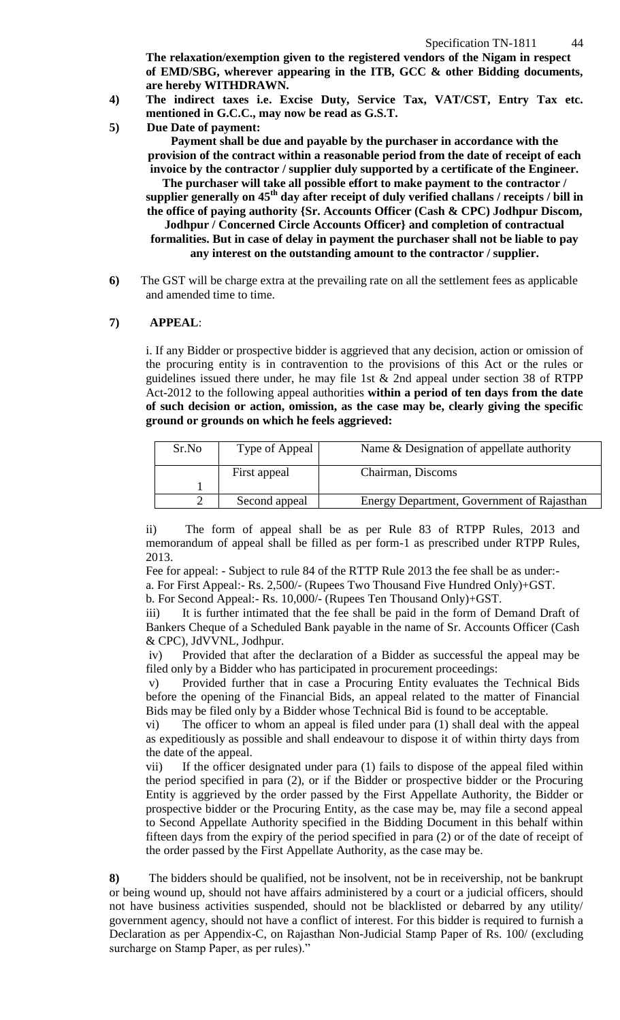**The relaxation/exemption given to the registered vendors of the Nigam in respect of EMD/SBG, wherever appearing in the ITB, GCC & other Bidding documents, are hereby WITHDRAWN.**

- **4) The indirect taxes i.e. Excise Duty, Service Tax, VAT/CST, Entry Tax etc. mentioned in G.C.C., may now be read as G.S.T.**
- **5) Due Date of payment:**

**Payment shall be due and payable by the purchaser in accordance with the provision of the contract within a reasonable period from the date of receipt of each invoice by the contractor / supplier duly supported by a certificate of the Engineer.** 

**The purchaser will take all possible effort to make payment to the contractor / supplier generally on 45th day after receipt of duly verified challans / receipts / bill in the office of paying authority {Sr. Accounts Officer (Cash & CPC) Jodhpur Discom,** 

**Jodhpur / Concerned Circle Accounts Officer} and completion of contractual formalities. But in case of delay in payment the purchaser shall not be liable to pay any interest on the outstanding amount to the contractor / supplier.**

**6)** The GST will be charge extra at the prevailing rate on all the settlement fees as applicable and amended time to time.

#### **7) APPEAL**:

i. If any Bidder or prospective bidder is aggrieved that any decision, action or omission of the procuring entity is in contravention to the provisions of this Act or the rules or guidelines issued there under, he may file 1st & 2nd appeal under section 38 of RTPP Act-2012 to the following appeal authorities **within a period of ten days from the date of such decision or action, omission, as the case may be, clearly giving the specific ground or grounds on which he feels aggrieved:** 

| Sr.No | Type of Appeal | Name & Designation of appellate authority  |
|-------|----------------|--------------------------------------------|
|       | First appeal   | Chairman, Discoms                          |
|       |                |                                            |
|       | Second appeal  | Energy Department, Government of Rajasthan |

ii) The form of appeal shall be as per Rule 83 of RTPP Rules, 2013 and memorandum of appeal shall be filled as per form-1 as prescribed under RTPP Rules, 2013.

Fee for appeal: - Subject to rule 84 of the RTTP Rule 2013 the fee shall be as under: a. For First Appeal:- Rs. 2,500/- (Rupees Two Thousand Five Hundred Only)+GST.

b. For Second Appeal:- Rs. 10,000/- (Rupees Ten Thousand Only)+GST.

iii) It is further intimated that the fee shall be paid in the form of Demand Draft of Bankers Cheque of a Scheduled Bank payable in the name of Sr. Accounts Officer (Cash & CPC), JdVVNL, Jodhpur.

iv) Provided that after the declaration of a Bidder as successful the appeal may be filed only by a Bidder who has participated in procurement proceedings:

v) Provided further that in case a Procuring Entity evaluates the Technical Bids before the opening of the Financial Bids, an appeal related to the matter of Financial Bids may be filed only by a Bidder whose Technical Bid is found to be acceptable.

vi) The officer to whom an appeal is filed under para (1) shall deal with the appeal as expeditiously as possible and shall endeavour to dispose it of within thirty days from the date of the appeal.

vii) If the officer designated under para (1) fails to dispose of the appeal filed within the period specified in para (2), or if the Bidder or prospective bidder or the Procuring Entity is aggrieved by the order passed by the First Appellate Authority, the Bidder or prospective bidder or the Procuring Entity, as the case may be, may file a second appeal to Second Appellate Authority specified in the Bidding Document in this behalf within fifteen days from the expiry of the period specified in para (2) or of the date of receipt of the order passed by the First Appellate Authority, as the case may be.

**8)** The bidders should be qualified, not be insolvent, not be in receivership, not be bankrupt or being wound up, should not have affairs administered by a court or a judicial officers, should not have business activities suspended, should not be blacklisted or debarred by any utility/ government agency, should not have a conflict of interest. For this bidder is required to furnish a Declaration as per Appendix-C, on Rajasthan Non-Judicial Stamp Paper of Rs. 100/ (excluding surcharge on Stamp Paper, as per rules)."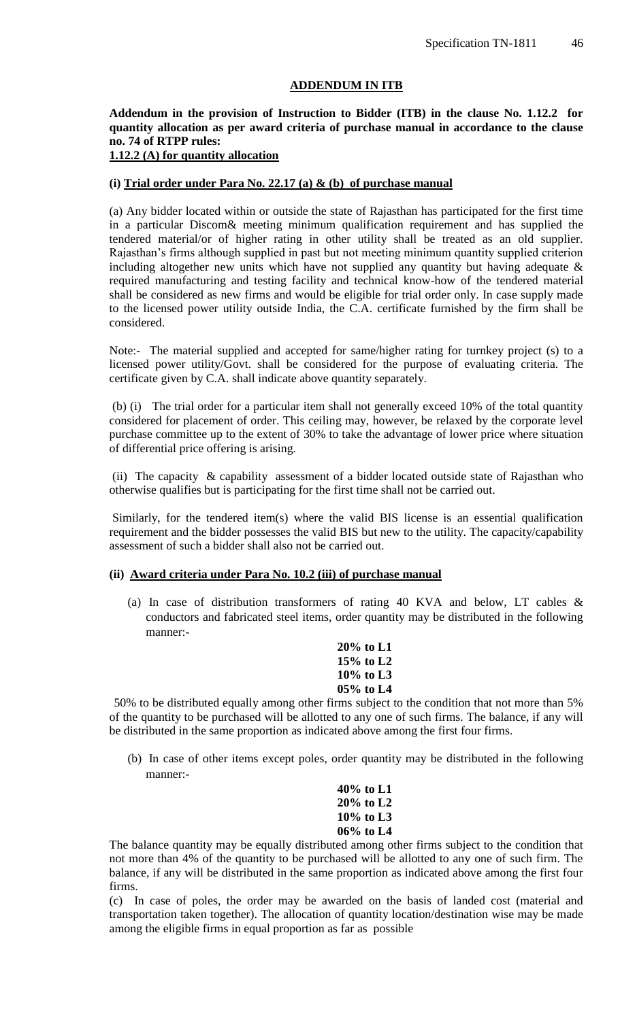## **ADDENDUM IN ITB**

## **Addendum in the provision of Instruction to Bidder (ITB) in the clause No. 1.12.2 for quantity allocation as per award criteria of purchase manual in accordance to the clause no. 74 of RTPP rules:**

## **1.12.2 (A) for quantity allocation**

#### **(i) Trial order under Para No. 22.17 (a) & (b) of purchase manual**

(a) Any bidder located within or outside the state of Rajasthan has participated for the first time in a particular Discom& meeting minimum qualification requirement and has supplied the tendered material/or of higher rating in other utility shall be treated as an old supplier. Rajasthan"s firms although supplied in past but not meeting minimum quantity supplied criterion including altogether new units which have not supplied any quantity but having adequate  $\&$ required manufacturing and testing facility and technical know-how of the tendered material shall be considered as new firms and would be eligible for trial order only. In case supply made to the licensed power utility outside India, the C.A. certificate furnished by the firm shall be considered.

Note:- The material supplied and accepted for same/higher rating for turnkey project (s) to a licensed power utility/Govt. shall be considered for the purpose of evaluating criteria. The certificate given by C.A. shall indicate above quantity separately.

(b) (i) The trial order for a particular item shall not generally exceed 10% of the total quantity considered for placement of order. This ceiling may, however, be relaxed by the corporate level purchase committee up to the extent of 30% to take the advantage of lower price where situation of differential price offering is arising.

(ii) The capacity & capability assessment of a bidder located outside state of Rajasthan who otherwise qualifies but is participating for the first time shall not be carried out.

Similarly, for the tendered item(s) where the valid BIS license is an essential qualification requirement and the bidder possesses the valid BIS but new to the utility. The capacity/capability assessment of such a bidder shall also not be carried out.

#### **(ii) Award criteria under Para No. 10.2 (iii) of purchase manual**

(a) In case of distribution transformers of rating 40 KVA and below, LT cables & conductors and fabricated steel items, order quantity may be distributed in the following manner:-

> **20% to L1 15% to L2 10% to L3 05% to L4**

50% to be distributed equally among other firms subject to the condition that not more than 5% of the quantity to be purchased will be allotted to any one of such firms. The balance, if any will be distributed in the same proportion as indicated above among the first four firms.

(b) In case of other items except poles, order quantity may be distributed in the following manner:-

> **40% to L1 20% to L2 10% to L3 06% to L4**

The balance quantity may be equally distributed among other firms subject to the condition that not more than 4% of the quantity to be purchased will be allotted to any one of such firm. The balance, if any will be distributed in the same proportion as indicated above among the first four firms.

(c) In case of poles, the order may be awarded on the basis of landed cost (material and transportation taken together). The allocation of quantity location/destination wise may be made among the eligible firms in equal proportion as far as possible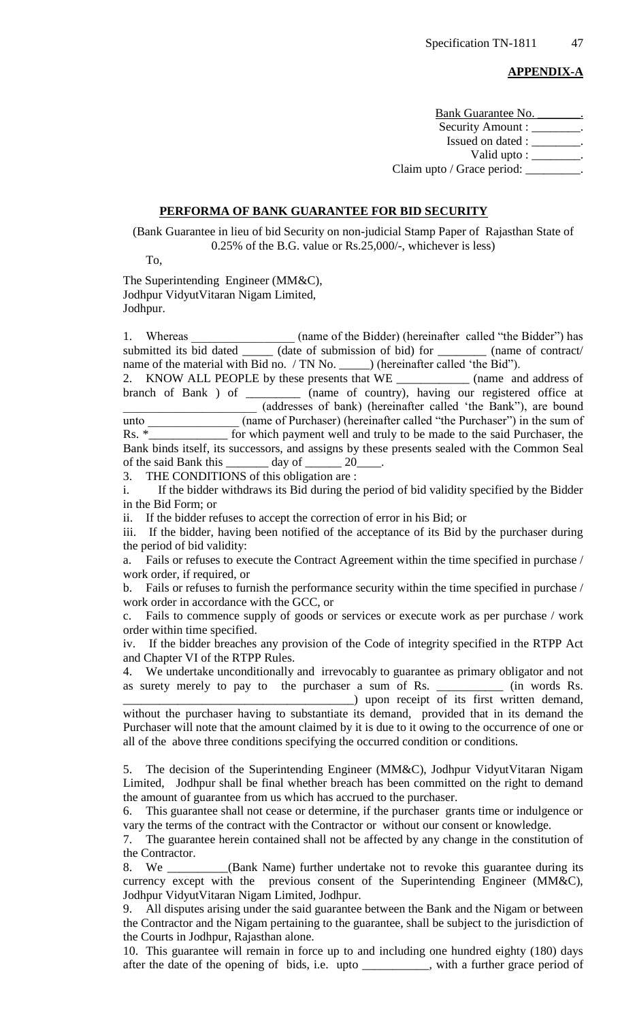#### **APPENDIX-A**

Bank Guarantee No. Security Amount : \_\_\_\_\_\_\_\_. Issued on dated : \_\_\_\_\_\_\_\_\_. Valid upto : \_\_\_\_\_\_\_\_. Claim upto / Grace period:

#### **PERFORMA OF BANK GUARANTEE FOR BID SECURITY**

(Bank Guarantee in lieu of bid Security on non-judicial Stamp Paper of Rajasthan State of 0.25% of the B.G. value or Rs.25,000/-, whichever is less)

To,

The Superintending Engineer (MM&C), Jodhpur VidyutVitaran Nigam Limited, Jodhpur.

1. Whereas (name of the Bidder) (hereinafter called "the Bidder") has submitted its bid dated \_\_\_\_\_\_ (date of submission of bid) for \_\_\_\_\_\_\_\_\_ (name of contract/ name of the material with Bid no. / TN No. \_\_\_\_\_\_) (hereinafter called 'the Bid'').

2. KNOW ALL PEOPLE by these presents that WE \_\_\_\_\_\_\_\_\_\_\_\_ (name and address of branch of Bank ) of \_\_\_\_\_\_\_\_\_ (name of country), having our registered office at \_\_\_\_\_\_\_\_\_\_\_\_\_\_\_\_\_\_\_\_\_\_ (addresses of bank) (hereinafter called "the Bank"), are bound unto (name of Purchaser) (hereinafter called "the Purchaser") in the sum of Rs.  $*$  for which payment well and truly to be made to the said Purchaser, the Bank binds itself, its successors, and assigns by these presents sealed with the Common Seal of the said Bank this  $\frac{1}{20}$  day of  $\frac{20}{20}$ 

3. THE CONDITIONS of this obligation are :

i. If the bidder withdraws its Bid during the period of bid validity specified by the Bidder in the Bid Form; or

ii. If the bidder refuses to accept the correction of error in his Bid; or

iii. If the bidder, having been notified of the acceptance of its Bid by the purchaser during the period of bid validity:

a. Fails or refuses to execute the Contract Agreement within the time specified in purchase / work order, if required, or

b. Fails or refuses to furnish the performance security within the time specified in purchase / work order in accordance with the GCC, or

c. Fails to commence supply of goods or services or execute work as per purchase / work order within time specified.

iv. If the bidder breaches any provision of the Code of integrity specified in the RTPP Act and Chapter VI of the RTPP Rules.

4. We undertake unconditionally and irrevocably to guarantee as primary obligator and not as surety merely to pay to the purchaser a sum of Rs. \_\_\_\_\_\_\_\_\_\_\_ (in words Rs.

\_\_\_\_\_\_\_\_\_\_\_\_\_\_\_\_\_\_\_\_\_\_\_\_\_\_\_\_\_\_\_\_\_\_\_\_\_\_) upon receipt of its first written demand, without the purchaser having to substantiate its demand, provided that in its demand the Purchaser will note that the amount claimed by it is due to it owing to the occurrence of one or all of the above three conditions specifying the occurred condition or conditions.

5. The decision of the Superintending Engineer (MM&C), Jodhpur VidyutVitaran Nigam Limited, Jodhpur shall be final whether breach has been committed on the right to demand the amount of guarantee from us which has accrued to the purchaser.

6. This guarantee shall not cease or determine, if the purchaser grants time or indulgence or vary the terms of the contract with the Contractor or without our consent or knowledge.

7. The guarantee herein contained shall not be affected by any change in the constitution of the Contractor.

8. We \_\_\_\_\_\_\_\_\_\_(Bank Name) further undertake not to revoke this guarantee during its currency except with the previous consent of the Superintending Engineer (MM&C), Jodhpur VidyutVitaran Nigam Limited, Jodhpur.

9. All disputes arising under the said guarantee between the Bank and the Nigam or between the Contractor and the Nigam pertaining to the guarantee, shall be subject to the jurisdiction of the Courts in Jodhpur, Rajasthan alone.

10. This guarantee will remain in force up to and including one hundred eighty (180) days after the date of the opening of bids, i.e. upto \_\_\_\_\_\_\_\_\_\_\_, with a further grace period of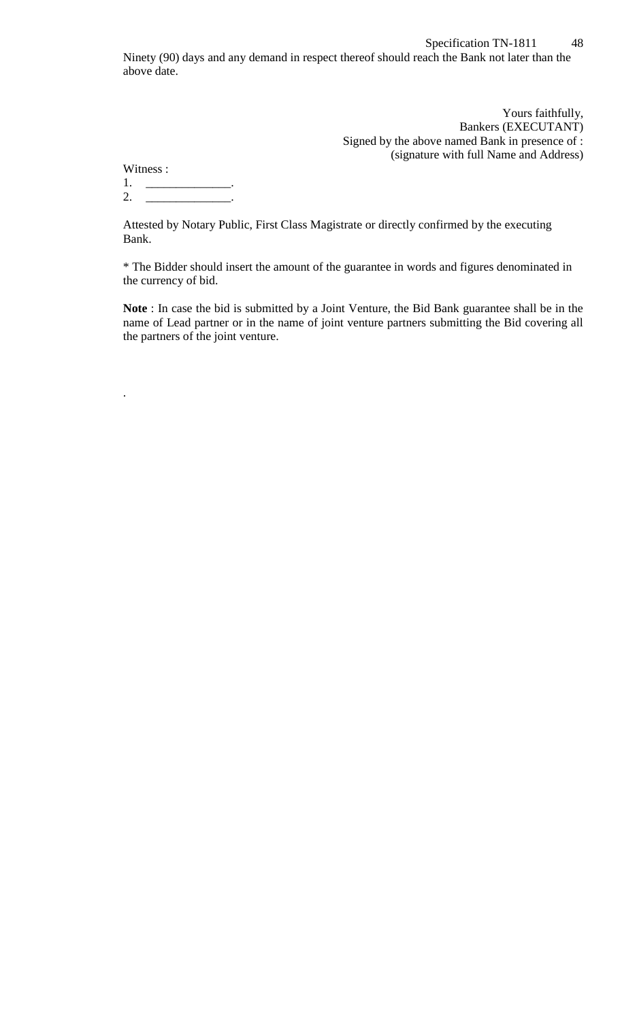Yours faithfully, Bankers (EXECUTANT) Signed by the above named Bank in presence of : (signature with full Name and Address)

| Witness: |  |
|----------|--|
|          |  |

.

2. \_\_\_\_\_\_\_\_\_\_\_\_\_\_\_\_\_\_.

Attested by Notary Public, First Class Magistrate or directly confirmed by the executing Bank.

\* The Bidder should insert the amount of the guarantee in words and figures denominated in the currency of bid.

**Note** : In case the bid is submitted by a Joint Venture, the Bid Bank guarantee shall be in the name of Lead partner or in the name of joint venture partners submitting the Bid covering all the partners of the joint venture.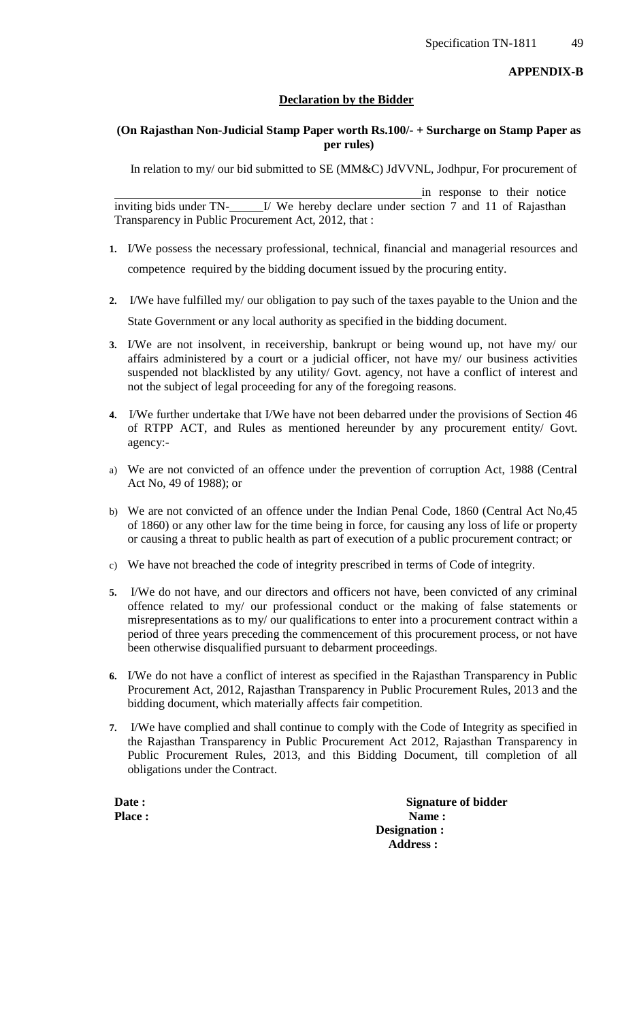## **Declaration by the Bidder**

## **(On Rajasthan Non-Judicial Stamp Paper worth Rs.100/- + Surcharge on Stamp Paper as per rules)**

In relation to my/ our bid submitted to SE (MM&C) JdVVNL, Jodhpur, For procurement of

in response to their notice inviting bids under TN-<br>
<u>I</u>/ We hereby declare under section 7 and 11 of Rajasthan Transparency in Public Procurement Act, 2012, that :

- **1.** I/We possess the necessary professional, technical, financial and managerial resources and competence required by the bidding document issued by the procuring entity.
- **2.** I/We have fulfilled my/ our obligation to pay such of the taxes payable to the Union and the State Government or any local authority as specified in the bidding document.
- **3.** I/We are not insolvent, in receivership, bankrupt or being wound up, not have my/ our affairs administered by a court or a judicial officer, not have my/ our business activities suspended not blacklisted by any utility/ Govt. agency, not have a conflict of interest and not the subject of legal proceeding for any of the foregoing reasons.
- **4.** I/We further undertake that I/We have not been debarred under the provisions of Section 46 of RTPP ACT, and Rules as mentioned hereunder by any procurement entity/ Govt. agency:-
- a) We are not convicted of an offence under the prevention of corruption Act, 1988 (Central Act No, 49 of 1988); or
- b) We are not convicted of an offence under the Indian Penal Code, 1860 (Central Act No,45 of 1860) or any other law for the time being in force, for causing any loss of life or property or causing a threat to public health as part of execution of a public procurement contract; or
- c) We have not breached the code of integrity prescribed in terms of Code of integrity.
- **5.** I/We do not have, and our directors and officers not have, been convicted of any criminal offence related to my/ our professional conduct or the making of false statements or misrepresentations as to my/ our qualifications to enter into a procurement contract within a period of three years preceding the commencement of this procurement process, or not have been otherwise disqualified pursuant to debarment proceedings.
- **6.** I/We do not have a conflict of interest as specified in the Rajasthan Transparency in Public Procurement Act, 2012, Rajasthan Transparency in Public Procurement Rules, 2013 and the bidding document, which materially affects fair competition.
- **7.** I/We have complied and shall continue to comply with the Code of Integrity as specified in the Rajasthan Transparency in Public Procurement Act 2012, Rajasthan Transparency in Public Procurement Rules, 2013, and this Bidding Document, till completion of all obligations under the Contract.

**Date : Signature of bidder Place : Name : Name : Designation : Address :**